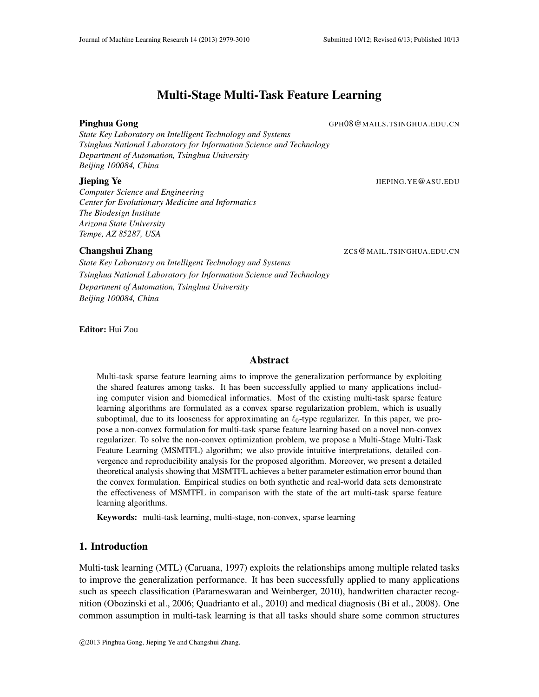# Multi-Stage Multi-Task Feature Learning

Pinghua Gong German German German German German German German German German German German German German German G

*State Key Laboratory on Intelligent Technology and Systems Tsinghua National Laboratory for Information Science and Technology Department of Automation, Tsinghua University Beijing 100084, China*

# **Jieping Ye** JIEPING.YE@ASU.EDU

*Computer Science and Engineering Center for Evolutionary Medicine and Informatics The Biodesign Institute Arizona State University Tempe, AZ 85287, USA*

*State Key Laboratory on Intelligent Technology and Systems Tsinghua National Laboratory for Information Science and Technology Department of Automation, Tsinghua University Beijing 100084, China*

Changshui Zhang ZCS @MAIL.TSINGHUA.EDU.CN

Editor: Hui Zou

# Abstract

Multi-task sparse feature learning aims to improve the generalization performance by exploiting the shared features among tasks. It has been successfully applied to many applications including computer vision and biomedical informatics. Most of the existing multi-task sparse feature learning algorithms are formulated as a convex sparse regularization problem, which is usually suboptimal, due to its looseness for approximating an  $\ell_0$ -type regularizer. In this paper, we propose a non-convex formulation for multi-task sparse feature learning based on a novel non-convex regularizer. To solve the non-convex optimization problem, we propose a Multi-Stage Multi-Task Feature Learning (MSMTFL) algorithm; we also provide intuitive interpretations, detailed convergence and reproducibility analysis for the proposed algorithm. Moreover, we present a detailed theoretical analysis showing that MSMTFL achieves a better parameter estimation error bound than the convex formulation. Empirical studies on both synthetic and real-world data sets demonstrate the effectiveness of MSMTFL in comparison with the state of the art multi-task sparse feature learning algorithms.

Keywords: multi-task learning, multi-stage, non-convex, sparse learning

# 1. Introduction

Multi-task learning (MTL) (Caruana, 1997) exploits the relationships among multiple related tasks to improve the generalization performance. It has been successfully applied to many applications such as speech classification (Parameswaran and Weinberger, 2010), handwritten character recognition (Obozinski et al., 2006; Quadrianto et al., 2010) and medical diagnosis (Bi et al., 2008). One common assumption in multi-task learning is that all tasks should share some common structures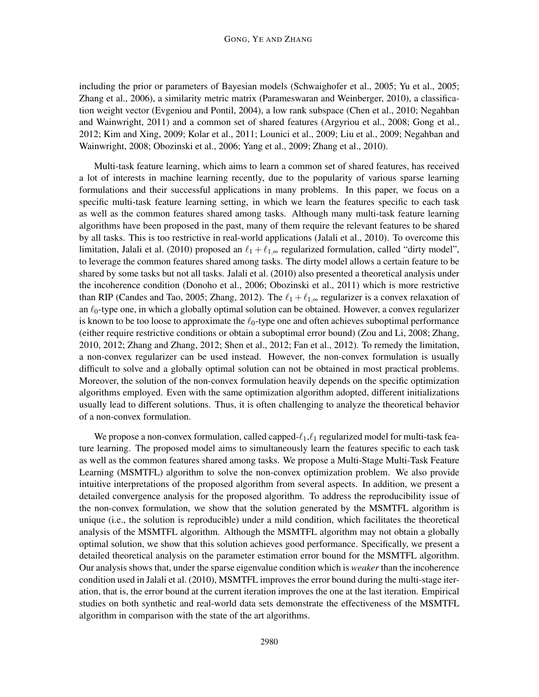including the prior or parameters of Bayesian models (Schwaighofer et al., 2005; Yu et al., 2005; Zhang et al., 2006), a similarity metric matrix (Parameswaran and Weinberger, 2010), a classification weight vector (Evgeniou and Pontil, 2004), a low rank subspace (Chen et al., 2010; Negahban and Wainwright, 2011) and a common set of shared features (Argyriou et al., 2008; Gong et al., 2012; Kim and Xing, 2009; Kolar et al., 2011; Lounici et al., 2009; Liu et al., 2009; Negahban and Wainwright, 2008; Obozinski et al., 2006; Yang et al., 2009; Zhang et al., 2010).

Multi-task feature learning, which aims to learn a common set of shared features, has received a lot of interests in machine learning recently, due to the popularity of various sparse learning formulations and their successful applications in many problems. In this paper, we focus on a specific multi-task feature learning setting, in which we learn the features specific to each task as well as the common features shared among tasks. Although many multi-task feature learning algorithms have been proposed in the past, many of them require the relevant features to be shared by all tasks. This is too restrictive in real-world applications (Jalali et al., 2010). To overcome this limitation, Jalali et al. (2010) proposed an  $\ell_1 + \ell_{1,\infty}$  regularized formulation, called "dirty model", to leverage the common features shared among tasks. The dirty model allows a certain feature to be shared by some tasks but not all tasks. Jalali et al. (2010) also presented a theoretical analysis under the incoherence condition (Donoho et al., 2006; Obozinski et al., 2011) which is more restrictive than RIP (Candes and Tao, 2005; Zhang, 2012). The  $\ell_1 + \ell_{1,\infty}$  regularizer is a convex relaxation of an  $\ell_0$ -type one, in which a globally optimal solution can be obtained. However, a convex regularizer is known to be too loose to approximate the  $\ell_0$ -type one and often achieves suboptimal performance (either require restrictive conditions or obtain a suboptimal error bound) (Zou and Li, 2008; Zhang, 2010, 2012; Zhang and Zhang, 2012; Shen et al., 2012; Fan et al., 2012). To remedy the limitation, a non-convex regularizer can be used instead. However, the non-convex formulation is usually difficult to solve and a globally optimal solution can not be obtained in most practical problems. Moreover, the solution of the non-convex formulation heavily depends on the specific optimization algorithms employed. Even with the same optimization algorithm adopted, different initializations usually lead to different solutions. Thus, it is often challenging to analyze the theoretical behavior of a non-convex formulation.

We propose a non-convex formulation, called capped- $\ell_1, \ell_1$  regularized model for multi-task feature learning. The proposed model aims to simultaneously learn the features specific to each task as well as the common features shared among tasks. We propose a Multi-Stage Multi-Task Feature Learning (MSMTFL) algorithm to solve the non-convex optimization problem. We also provide intuitive interpretations of the proposed algorithm from several aspects. In addition, we present a detailed convergence analysis for the proposed algorithm. To address the reproducibility issue of the non-convex formulation, we show that the solution generated by the MSMTFL algorithm is unique (i.e., the solution is reproducible) under a mild condition, which facilitates the theoretical analysis of the MSMTFL algorithm. Although the MSMTFL algorithm may not obtain a globally optimal solution, we show that this solution achieves good performance. Specifically, we present a detailed theoretical analysis on the parameter estimation error bound for the MSMTFL algorithm. Our analysis shows that, under the sparse eigenvalue condition which is *weaker* than the incoherence condition used in Jalali et al. (2010), MSMTFL improves the error bound during the multi-stage iteration, that is, the error bound at the current iteration improves the one at the last iteration. Empirical studies on both synthetic and real-world data sets demonstrate the effectiveness of the MSMTFL algorithm in comparison with the state of the art algorithms.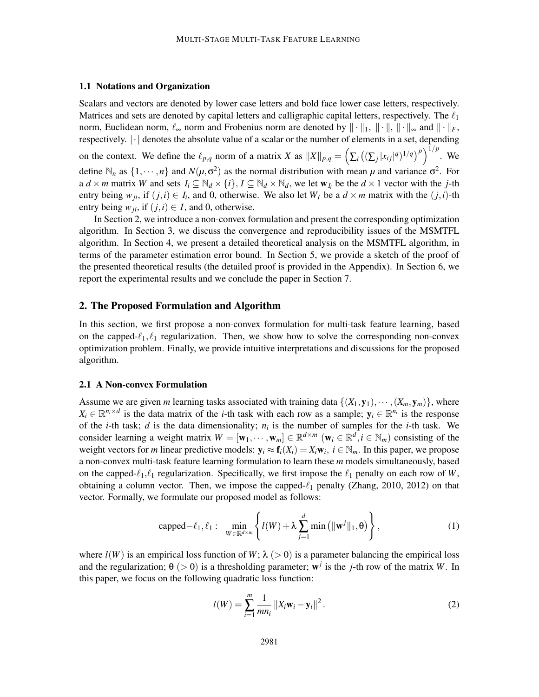# 1.1 Notations and Organization

Scalars and vectors are denoted by lower case letters and bold face lower case letters, respectively. Matrices and sets are denoted by capital letters and calligraphic capital letters, respectively. The  $\ell_1$ norm, Euclidean norm,  $\ell_{\infty}$  norm and Frobenius norm are denoted by  $\|\cdot\|_1$ ,  $\|\cdot\|_{\infty}$  and  $\|\cdot\|_F$ , respectively. |·| denotes the absolute value of a scalar or the number of elements in a set, depending on the context. We define the  $\ell_{p,q}$  norm of a matrix *X* as  $||X||_{p,q} = \left(\sum_i \left( (\sum_j |x_{ij}|^q)^{1/q} \right)^p \right)^{1/p}$ . We define  $\mathbb{N}_n$  as  $\{1, \dots, n\}$  and  $N(\mu, \sigma^2)$  as the normal distribution with mean  $\mu$  and variance  $\sigma^2$ . For a  $d \times m$  matrix *W* and sets  $I_i \subseteq \mathbb{N}_d \times \{i\}$ ,  $I \subseteq \mathbb{N}_d \times \mathbb{N}_d$ , we let  $\mathbf{w}_{I_i}$  be the  $d \times 1$  vector with the *j*-th entry being  $w_{ji}$ , if  $(j, i) \in I_i$ , and 0, otherwise. We also let  $W_I$  be a  $d \times m$  matrix with the  $(j, i)$ -th entry being  $w_{ji}$ , if  $(j, i) \in I$ , and 0, otherwise.

In Section 2, we introduce a non-convex formulation and present the corresponding optimization algorithm. In Section 3, we discuss the convergence and reproducibility issues of the MSMTFL algorithm. In Section 4, we present a detailed theoretical analysis on the MSMTFL algorithm, in terms of the parameter estimation error bound. In Section 5, we provide a sketch of the proof of the presented theoretical results (the detailed proof is provided in the Appendix). In Section 6, we report the experimental results and we conclude the paper in Section 7.

# 2. The Proposed Formulation and Algorithm

In this section, we first propose a non-convex formulation for multi-task feature learning, based on the capped- $\ell_1, \ell_1$  regularization. Then, we show how to solve the corresponding non-convex optimization problem. Finally, we provide intuitive interpretations and discussions for the proposed algorithm.

#### 2.1 A Non-convex Formulation

Assume we are given *m* learning tasks associated with training data  $\{(X_1, y_1), \dots, (X_m, y_m)\}\)$ , where  $X_i \in \mathbb{R}^{n_i \times d}$  is the data matrix of the *i*-th task with each row as a sample;  $y_i \in \mathbb{R}^{n_i}$  is the response of the *i*-th task; *d* is the data dimensionality;  $n_i$  is the number of samples for the *i*-th task. We consider learning a weight matrix  $W = [\mathbf{w}_1, \dots, \mathbf{w}_m] \in \mathbb{R}^{d \times m}$  ( $\mathbf{w}_i \in \mathbb{R}^d, i \in \mathbb{N}_m$ ) consisting of the weight vectors for *m* linear predictive models:  $y_i \approx f_i(X_i) = X_i w_i$ ,  $i \in \mathbb{N}_m$ . In this paper, we propose a non-convex multi-task feature learning formulation to learn these *m* models simultaneously, based on the capped- $\ell_1, \ell_1$  regularization. Specifically, we first impose the  $\ell_1$  penalty on each row of *W*, obtaining a column vector. Then, we impose the capped- $\ell_1$  penalty (Zhang, 2010, 2012) on that vector. Formally, we formulate our proposed model as follows:

$$
\text{capped} - \ell_1, \ell_1: \quad \min_{W \in \mathbb{R}^{d \times m}} \left\{ l(W) + \lambda \sum_{j=1}^d \min\left( \|\mathbf{w}^j\|_1, \theta \right) \right\},\tag{1}
$$

where  $l(W)$  is an empirical loss function of  $W$ ;  $\lambda$  ( $>$  0) is a parameter balancing the empirical loss and the regularization;  $\theta$  ( $>$  0) is a thresholding parameter;  $w<sup>j</sup>$  is the *j*-th row of the matrix *W*. In this paper, we focus on the following quadratic loss function:

$$
l(W) = \sum_{i=1}^{m} \frac{1}{mn_i} ||X_i \mathbf{w}_i - \mathbf{y}_i||^2.
$$
 (2)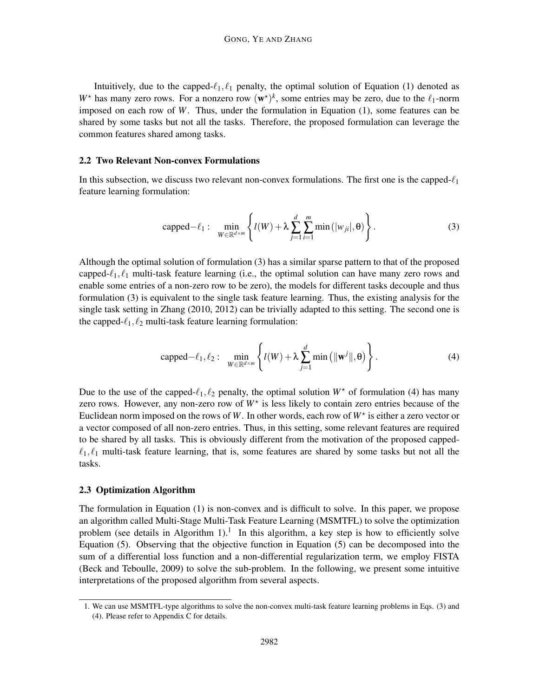Intuitively, due to the capped- $\ell_1, \ell_1$  penalty, the optimal solution of Equation (1) denoted as  $W^*$  has many zero rows. For a nonzero row  $(w^*)^k$ , some entries may be zero, due to the  $\ell_1$ -norm imposed on each row of *W*. Thus, under the formulation in Equation (1), some features can be shared by some tasks but not all the tasks. Therefore, the proposed formulation can leverage the common features shared among tasks.

# 2.2 Two Relevant Non-convex Formulations

In this subsection, we discuss two relevant non-convex formulations. The first one is the capped- $\ell_1$ feature learning formulation:

$$
\text{capped} - \ell_1: \quad \min_{W \in \mathbb{R}^{d \times m}} \left\{ l(W) + \lambda \sum_{j=1}^d \sum_{i=1}^m \min\left(|w_{ji}|, \theta\right) \right\}.
$$

Although the optimal solution of formulation (3) has a similar sparse pattern to that of the proposed capped- $\ell_1, \ell_1$  multi-task feature learning (i.e., the optimal solution can have many zero rows and enable some entries of a non-zero row to be zero), the models for different tasks decouple and thus formulation (3) is equivalent to the single task feature learning. Thus, the existing analysis for the single task setting in Zhang (2010, 2012) can be trivially adapted to this setting. The second one is the capped- $\ell_1, \ell_2$  multi-task feature learning formulation:

$$
\text{capped}-\ell_1,\ell_2: \quad \min_{W \in \mathbb{R}^{d \times m}} \left\{ l(W) + \lambda \sum_{j=1}^d \min\left(\|\mathbf{w}^j\|, \boldsymbol{\theta}\right) \right\}.
$$
 (4)

Due to the use of the capped- $\ell_1, \ell_2$  penalty, the optimal solution  $W^*$  of formulation (4) has many zero rows. However, any non-zero row of  $W^*$  is less likely to contain zero entries because of the Euclidean norm imposed on the rows of  $W$ . In other words, each row of  $W^*$  is either a zero vector or a vector composed of all non-zero entries. Thus, in this setting, some relevant features are required to be shared by all tasks. This is obviously different from the motivation of the proposed capped- $\ell_1, \ell_1$  multi-task feature learning, that is, some features are shared by some tasks but not all the tasks.

# 2.3 Optimization Algorithm

The formulation in Equation (1) is non-convex and is difficult to solve. In this paper, we propose an algorithm called Multi-Stage Multi-Task Feature Learning (MSMTFL) to solve the optimization problem (see details in Algorithm 1).<sup>1</sup> In this algorithm, a key step is how to efficiently solve Equation (5). Observing that the objective function in Equation (5) can be decomposed into the sum of a differential loss function and a non-differential regularization term, we employ FISTA (Beck and Teboulle, 2009) to solve the sub-problem. In the following, we present some intuitive interpretations of the proposed algorithm from several aspects.

<sup>1.</sup> We can use MSMTFL-type algorithms to solve the non-convex multi-task feature learning problems in Eqs. (3) and (4). Please refer to Appendix C for details.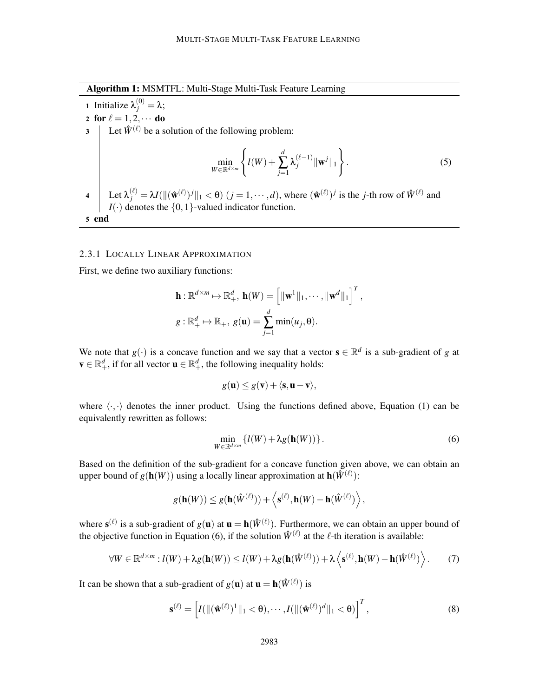Algorithm 1: MSMTFL: Multi-Stage Multi-Task Feature Learning

**1** Initialize  $\lambda_j^{(0)} = \lambda$ ; 2 for  $\ell = 1, 2, \cdots$  do<br>3 | Let  $\hat{W}^{(\ell)}$  be a s Let  $\hat{W}^{(\ell)}$  be a solution of the following problem: min *<sup>W</sup>*∈R*d*×*<sup>m</sup>*  $\int$  $l(W) +$ *d* ∑ *j*=1  $\lambda_j^{(\ell-1)} \| \mathbf{w}^j \|_1$  $\mathcal{L}$ .  $(5)$ 4 Let  $\lambda_j^{(\ell)} = \lambda I(||(\hat{\mathbf{w}}^{(\ell)})^j||_1 < \theta$   $(j = 1, \dots, d)$ , where  $(\hat{\mathbf{w}}^{(\ell)})^j$  is the *j*-th row of  $\hat{W}^{(\ell)}$  and  $I(\cdot)$  denotes the  $\{0,1\}$ -valued indicator function. 5 end

# 2.3.1 LOCALLY LINEAR APPROXIMATION

First, we define two auxiliary functions:

$$
\mathbf{h} : \mathbb{R}^{d \times m} \mapsto \mathbb{R}^d_+, \ \mathbf{h}(W) = \left[ \|\mathbf{w}^1\|_1, \cdots, \|\mathbf{w}^d\|_1 \right]^T,
$$

$$
g : \mathbb{R}^d_+ \mapsto \mathbb{R}_+, \ g(\mathbf{u}) = \sum_{j=1}^d \min(u_j, \theta).
$$

We note that  $g(\cdot)$  is a concave function and we say that a vector  $\mathbf{s} \in \mathbb{R}^d$  is a sub-gradient of *g* at  $\mathbf{v} \in \mathbb{R}_+^d$ , if for all vector  $\mathbf{u} \in \mathbb{R}_+^d$ , the following inequality holds:

$$
g(\mathbf{u}) \leq g(\mathbf{v}) + \langle \mathbf{s}, \mathbf{u} - \mathbf{v} \rangle,
$$

where  $\langle \cdot, \cdot \rangle$  denotes the inner product. Using the functions defined above, Equation (1) can be equivalently rewritten as follows:

$$
\min_{W \in \mathbb{R}^{d \times m}} \{ l(W) + \lambda g(\mathbf{h}(W)) \}.
$$
 (6)

Based on the definition of the sub-gradient for a concave function given above, we can obtain an upper bound of  $g(\mathbf{h}(W))$  using a locally linear approximation at  $\mathbf{h}(\hat{W}^{(\ell)})$ :

$$
g(\mathbf{h}(W)) \leq g(\mathbf{h}(\hat{W}^{(\ell)})) + \left\langle \mathbf{s}^{(\ell)}, \mathbf{h}(W) - \mathbf{h}(\hat{W}^{(\ell)}) \right\rangle,
$$

where  $\mathbf{s}^{(\ell)}$  is a sub-gradient of  $g(\mathbf{u})$  at  $\mathbf{u} = \mathbf{h}(\hat{W}^{(\ell)})$ . Furthermore, we can obtain an upper bound of the objective function in Equation (6), if the solution  $\hat{W}^{(\ell)}$  at the  $\ell$ -th iteration is available:

$$
\forall W \in \mathbb{R}^{d \times m} : l(W) + \lambda g(\mathbf{h}(W)) \le l(W) + \lambda g(\mathbf{h}(\hat{W}^{(\ell)})) + \lambda \left\langle \mathbf{s}^{(\ell)}, \mathbf{h}(W) - \mathbf{h}(\hat{W}^{(\ell)}) \right\rangle.
$$
 (7)

It can be shown that a sub-gradient of  $g(\mathbf{u})$  at  $\mathbf{u} = \mathbf{h}(\hat{W}^{(\ell)})$  is

$$
\mathbf{s}^{(\ell)} = \left[ I(\|(\hat{\mathbf{w}}^{(\ell)})^1\|_1 < \theta), \cdots, I(\|(\hat{\mathbf{w}}^{(\ell)})^d\|_1 < \theta) \right]^T, \tag{8}
$$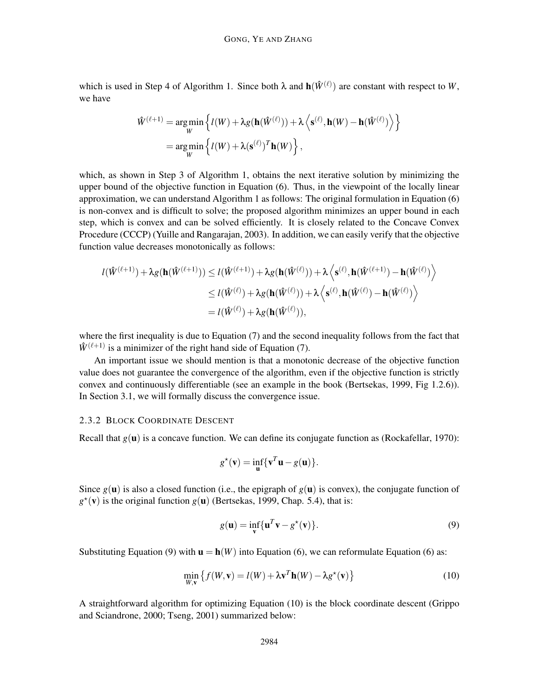which is used in Step 4 of Algorithm 1. Since both  $\lambda$  and  $h(\hat{W}^{(\ell)})$  are constant with respect to *W*, we have

$$
\hat{W}^{(\ell+1)} = \underset{W}{\arg\min} \left\{ l(W) + \lambda g(\mathbf{h}(\hat{W}^{(\ell)})) + \lambda \left\langle \mathbf{s}^{(\ell)}, \mathbf{h}(W) - \mathbf{h}(\hat{W}^{(\ell)}) \right\rangle \right\}
$$
\n
$$
= \underset{W}{\arg\min} \left\{ l(W) + \lambda (\mathbf{s}^{(\ell)})^T \mathbf{h}(W) \right\},
$$

which, as shown in Step 3 of Algorithm 1, obtains the next iterative solution by minimizing the upper bound of the objective function in Equation (6). Thus, in the viewpoint of the locally linear approximation, we can understand Algorithm 1 as follows: The original formulation in Equation (6) is non-convex and is difficult to solve; the proposed algorithm minimizes an upper bound in each step, which is convex and can be solved efficiently. It is closely related to the Concave Convex Procedure (CCCP) (Yuille and Rangarajan, 2003). In addition, we can easily verify that the objective function value decreases monotonically as follows:

$$
l(\hat{W}^{(\ell+1)}) + \lambda g(\mathbf{h}(\hat{W}^{(\ell+1)})) \le l(\hat{W}^{(\ell+1)}) + \lambda g(\mathbf{h}(\hat{W}^{(\ell)})) + \lambda \left\langle \mathbf{s}^{(\ell)}, \mathbf{h}(\hat{W}^{(\ell+1)}) - \mathbf{h}(\hat{W}^{(\ell)}) \right\rangle
$$
  
\n
$$
\le l(\hat{W}^{(\ell)}) + \lambda g(\mathbf{h}(\hat{W}^{(\ell)})) + \lambda \left\langle \mathbf{s}^{(\ell)}, \mathbf{h}(\hat{W}^{(\ell)}) - \mathbf{h}(\hat{W}^{(\ell)}) \right\rangle
$$
  
\n
$$
= l(\hat{W}^{(\ell)}) + \lambda g(\mathbf{h}(\hat{W}^{(\ell)})),
$$

where the first inequality is due to Equation (7) and the second inequality follows from the fact that  $\hat{W}^{(\ell+1)}$  is a minimizer of the right hand side of Equation (7).

An important issue we should mention is that a monotonic decrease of the objective function value does not guarantee the convergence of the algorithm, even if the objective function is strictly convex and continuously differentiable (see an example in the book (Bertsekas, 1999, Fig 1.2.6)). In Section 3.1, we will formally discuss the convergence issue.

# 2.3.2 BLOCK COORDINATE DESCENT

Recall that  $g(\mathbf{u})$  is a concave function. We can define its conjugate function as (Rockafellar, 1970):

$$
g^{\star}(\mathbf{v}) = \inf_{\mathbf{u}} \{ \mathbf{v}^T \mathbf{u} - g(\mathbf{u}) \}.
$$

Since  $g(\mathbf{u})$  is also a closed function (i.e., the epigraph of  $g(\mathbf{u})$  is convex), the conjugate function of  $g^*(v)$  is the original function  $g(u)$  (Bertsekas, 1999, Chap. 5.4), that is:

$$
g(\mathbf{u}) = \inf_{\mathbf{v}} \{ \mathbf{u}^T \mathbf{v} - g^*(\mathbf{v}) \}.
$$
 (9)

Substituting Equation (9) with  $\mathbf{u} = \mathbf{h}(W)$  into Equation (6), we can reformulate Equation (6) as:

$$
\min_{W,\mathbf{v}} \left\{ f(W,\mathbf{v}) = l(W) + \lambda \mathbf{v}^T \mathbf{h}(W) - \lambda g^\star(\mathbf{v}) \right\} \tag{10}
$$

A straightforward algorithm for optimizing Equation (10) is the block coordinate descent (Grippo and Sciandrone, 2000; Tseng, 2001) summarized below: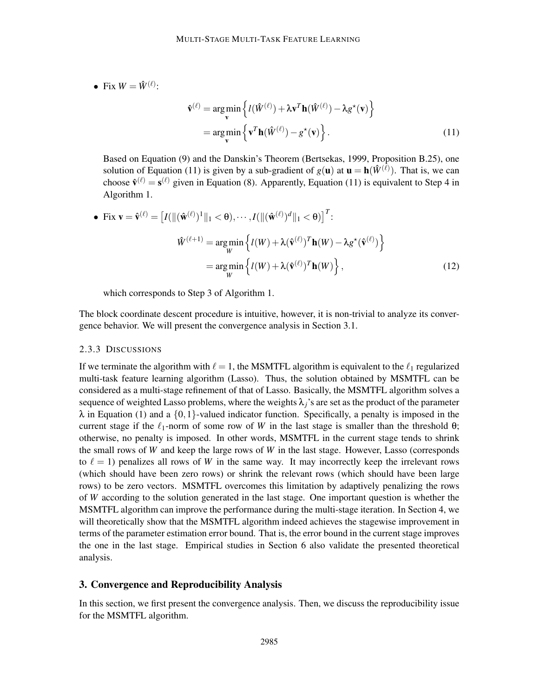• Fix  $W = \hat{W}^{(\ell)}$ :

$$
\hat{\mathbf{v}}^{(\ell)} = \underset{\mathbf{v}}{\arg\min} \left\{ l(\hat{W}^{(\ell)}) + \lambda \mathbf{v}^T \mathbf{h}(\hat{W}^{(\ell)}) - \lambda g^{\star}(\mathbf{v}) \right\}
$$
\n
$$
= \underset{\mathbf{v}}{\arg\min} \left\{ \mathbf{v}^T \mathbf{h}(\hat{W}^{(\ell)}) - g^{\star}(\mathbf{v}) \right\}. \tag{11}
$$

Based on Equation (9) and the Danskin's Theorem (Bertsekas, 1999, Proposition B.25), one solution of Equation (11) is given by a sub-gradient of  $g(\mathbf{u})$  at  $\mathbf{u} = \mathbf{h}(\hat{W}^{(\ell)})$ . That is, we can choose  $\hat{\mathbf{v}}^{(\ell)} = \mathbf{s}^{(\ell)}$  given in Equation (8). Apparently, Equation (11) is equivalent to Step 4 in Algorithm 1.

• Fix 
$$
\mathbf{v} = \hat{\mathbf{v}}^{(\ell)} = [I(||(\hat{\mathbf{w}}^{(\ell)})^1||_1 < \theta), \cdots, I(||(\hat{\mathbf{w}}^{(\ell)})^d||_1 < \theta)]^T
$$
:  
\n
$$
\hat{W}^{(\ell+1)} = \underset{W}{\arg\min} \left\{ I(W) + \lambda (\hat{\mathbf{v}}^{(\ell)})^T \mathbf{h}(W) - \lambda g^{\star}(\hat{\mathbf{v}}^{(\ell)}) \right\}
$$
\n
$$
= \underset{W}{\arg\min} \left\{ I(W) + \lambda (\hat{\mathbf{v}}^{(\ell)})^T \mathbf{h}(W) \right\},
$$
\n(12)

which corresponds to Step 3 of Algorithm 1.

The block coordinate descent procedure is intuitive, however, it is non-trivial to analyze its convergence behavior. We will present the convergence analysis in Section 3.1.

#### 2.3.3 DISCUSSIONS

If we terminate the algorithm with  $\ell = 1$ , the MSMTFL algorithm is equivalent to the  $\ell_1$  regularized multi-task feature learning algorithm (Lasso). Thus, the solution obtained by MSMTFL can be considered as a multi-stage refinement of that of Lasso. Basically, the MSMTFL algorithm solves a sequence of weighted Lasso problems, where the weights  $\lambda_i$ 's are set as the product of the parameter  $\lambda$  in Equation (1) and a {0,1}-valued indicator function. Specifically, a penalty is imposed in the current stage if the  $\ell_1$ -norm of some row of *W* in the last stage is smaller than the threshold  $\theta$ ; otherwise, no penalty is imposed. In other words, MSMTFL in the current stage tends to shrink the small rows of *W* and keep the large rows of *W* in the last stage. However, Lasso (corresponds to  $\ell = 1$ ) penalizes all rows of *W* in the same way. It may incorrectly keep the irrelevant rows (which should have been zero rows) or shrink the relevant rows (which should have been large rows) to be zero vectors. MSMTFL overcomes this limitation by adaptively penalizing the rows of *W* according to the solution generated in the last stage. One important question is whether the MSMTFL algorithm can improve the performance during the multi-stage iteration. In Section 4, we will theoretically show that the MSMTFL algorithm indeed achieves the stagewise improvement in terms of the parameter estimation error bound. That is, the error bound in the current stage improves the one in the last stage. Empirical studies in Section 6 also validate the presented theoretical analysis.

# 3. Convergence and Reproducibility Analysis

In this section, we first present the convergence analysis. Then, we discuss the reproducibility issue for the MSMTFL algorithm.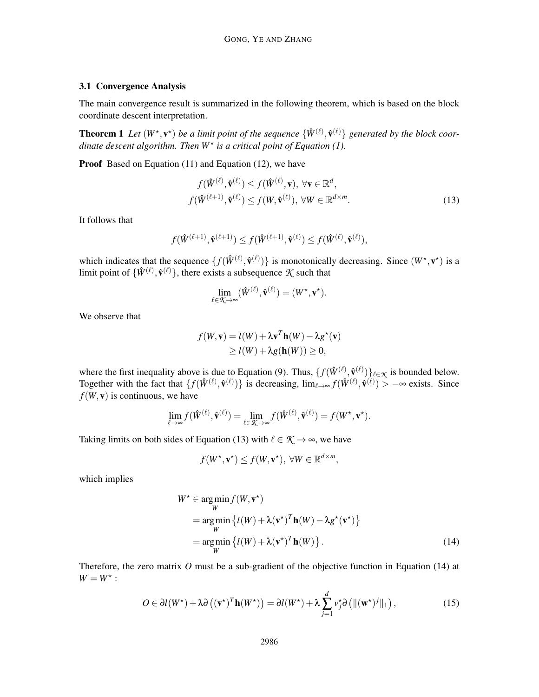# 3.1 Convergence Analysis

The main convergence result is summarized in the following theorem, which is based on the block coordinate descent interpretation.

**Theorem 1** Let  $(W^*, v^*)$  be a limit point of the sequence  $\{\hat{W}^{(\ell)}, \hat{v}^{(\ell)}\}$  generated by the block coor*dinate descent algorithm. Then*  $W^*$  *is a critical point of Equation (1).* 

Proof Based on Equation (11) and Equation (12), we have

$$
f(\hat{W}^{(\ell)}, \hat{\mathbf{v}}^{(\ell)}) \le f(\hat{W}^{(\ell)}, \mathbf{v}), \ \forall \mathbf{v} \in \mathbb{R}^d,
$$
  

$$
f(\hat{W}^{(\ell+1)}, \hat{\mathbf{v}}^{(\ell)}) \le f(W, \hat{\mathbf{v}}^{(\ell)}), \ \forall W \in \mathbb{R}^{d \times m}.
$$
 (13)

It follows that

$$
f(\hat{W}^{(\ell+1)}, \hat{\mathbf{v}}^{(\ell+1)}) \leq f(\hat{W}^{(\ell+1)}, \hat{\mathbf{v}}^{(\ell)}) \leq f(\hat{W}^{(\ell)}, \hat{\mathbf{v}}^{(\ell)}),
$$

which indicates that the sequence  $\{f(\hat{W}^{(\ell)}, \hat{v}^{(\ell)})\}$  is monotonically decreasing. Since  $(W^*, v^*)$  is a limit point of  $\{\hat{W}^{(\ell)}, \hat{V}^{(\ell)}\}$ , there exists a subsequence  $K$  such that

$$
\lim_{\ell \in \mathcal{K} \to \infty} (\hat{W}^{(\ell)}, \hat{\mathbf{v}}^{(\ell)}) = (W^{\star}, \mathbf{v}^{\star}).
$$

We observe that

$$
f(W, \mathbf{v}) = l(W) + \lambda \mathbf{v}^T \mathbf{h}(W) - \lambda g^{\star}(\mathbf{v})
$$
  
\n
$$
\ge l(W) + \lambda g(\mathbf{h}(W)) \ge 0,
$$

where the first inequality above is due to Equation (9). Thus,  $\{f(\hat{W}^{(\ell)}, \hat{V}^{(\ell)})\}_{\ell \in \mathcal{K}}$  is bounded below. Together with the fact that  $\{f(\hat{W}^{(\ell)}, \hat{v}^{(\ell)})\}$  is decreasing,  $\lim_{\ell \to \infty} f(\hat{W}^{(\ell)}, \hat{v}^{(\ell)}) > -\infty$  exists. Since  $f(W, v)$  is continuous, we have

$$
\lim_{\ell \to \infty} f(\hat{W}^{(\ell)}, \hat{\mathbf{v}}^{(\ell)}) = \lim_{\ell \in \mathcal{K} \to \infty} f(\hat{W}^{(\ell)}, \hat{\mathbf{v}}^{(\ell)}) = f(W^\star, \mathbf{v}^\star).
$$

Taking limits on both sides of Equation (13) with  $\ell \in \mathcal{K} \rightarrow \infty$ , we have

$$
f(W^{\star}, \mathbf{v}^{\star}) \le f(W, \mathbf{v}^{\star}), \ \forall W \in \mathbb{R}^{d \times m},
$$

which implies

$$
W^* \in \underset{W}{\arg\min} f(W, \mathbf{v}^*)
$$
  
= 
$$
\underset{W}{\arg\min} \left\{ l(W) + \lambda (\mathbf{v}^*)^T \mathbf{h}(W) - \lambda g^*(\mathbf{v}^*) \right\}
$$
  
= 
$$
\underset{W}{\arg\min} \left\{ l(W) + \lambda (\mathbf{v}^*)^T \mathbf{h}(W) \right\}.
$$
 (14)

Therefore, the zero matrix *O* must be a sub-gradient of the objective function in Equation (14) at  $W = W^*$ :

$$
O \in \partial l(W^*) + \lambda \partial \left( (\mathbf{v}^*)^T \mathbf{h}(W^*) \right) = \partial l(W^*) + \lambda \sum_{j=1}^d v_j^* \partial \left( \| (\mathbf{w}^*)^j \|_1 \right), \tag{15}
$$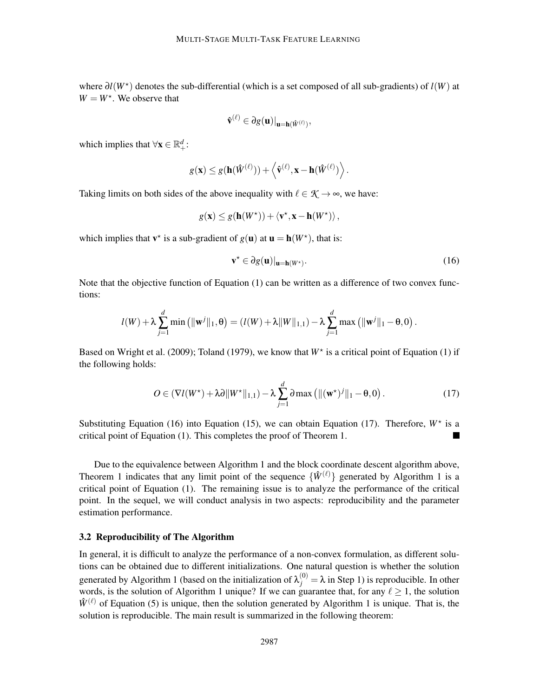where ∂*l*(*W*<sup>⋆</sup> ) denotes the sub-differential (which is a set composed of all sub-gradients) of *l*(*W*) at  $W = W^*$ . We observe that

$$
\hat{\mathbf{v}}^{(\ell)} \in \partial g(\mathbf{u})|_{\mathbf{u}=\mathbf{h}(\hat{W}^{(\ell)})},
$$

which implies that  $\forall x \in \mathbb{R}^d_+$ :

$$
g(\mathbf{x}) \leq g(\mathbf{h}(\hat{W}^{(\ell)})) + \left\langle \hat{\mathbf{v}}^{(\ell)}, \mathbf{x} - \mathbf{h}(\hat{W}^{(\ell)}) \right\rangle.
$$

Taking limits on both sides of the above inequality with  $\ell \in \mathcal{K} \to \infty$ , we have:

$$
g(\mathbf{x}) \leq g(\mathbf{h}(W^*) + \langle \mathbf{v}^*, \mathbf{x} - \mathbf{h}(W^*) \rangle,
$$

which implies that  $\mathbf{v}^*$  is a sub-gradient of  $g(\mathbf{u})$  at  $\mathbf{u} = \mathbf{h}(W^*)$ , that is:

$$
\mathbf{v}^{\star} \in \partial g(\mathbf{u})|_{\mathbf{u}=\mathbf{h}(W^{\star})}.
$$
 (16)

Note that the objective function of Equation (1) can be written as a difference of two convex functions:

$$
l(W) + \lambda \sum_{j=1}^d \min\left( {\| \mathbf{w}^j \|_1, \theta} \right) = \left( l(W) + \lambda \| W \|_{1,1} \right) - \lambda \sum_{j=1}^d \max\left( {\| \mathbf{w}^j \|_1 - \theta, 0} \right).
$$

Based on Wright et al. (2009); Toland (1979), we know that  $W^*$  is a critical point of Equation (1) if the following holds:

$$
O \in \left(\nabla l(W^*) + \lambda \partial \|W^*\|_{1,1}\right) - \lambda \sum_{j=1}^d \partial \max\left(\|(w^*)^j\|_1 - \theta, 0\right). \tag{17}
$$

Substituting Equation (16) into Equation (15), we can obtain Equation (17). Therefore,  $W^*$  is a critical point of Equation (1). This completes the proof of Theorem 1.

Due to the equivalence between Algorithm 1 and the block coordinate descent algorithm above, Theorem 1 indicates that any limit point of the sequence  $\{\hat{W}^{(\ell)}\}$  generated by Algorithm 1 is a critical point of Equation (1). The remaining issue is to analyze the performance of the critical point. In the sequel, we will conduct analysis in two aspects: reproducibility and the parameter estimation performance.

# 3.2 Reproducibility of The Algorithm

In general, it is difficult to analyze the performance of a non-convex formulation, as different solutions can be obtained due to different initializations. One natural question is whether the solution generated by Algorithm 1 (based on the initialization of  $\lambda_j^{(0)} = \lambda$  in Step 1) is reproducible. In other words, is the solution of Algorithm 1 unique? If we can guarantee that, for any  $\ell > 1$ , the solution  $\hat{W}^{(\ell)}$  of Equation (5) is unique, then the solution generated by Algorithm 1 is unique. That is, the solution is reproducible. The main result is summarized in the following theorem: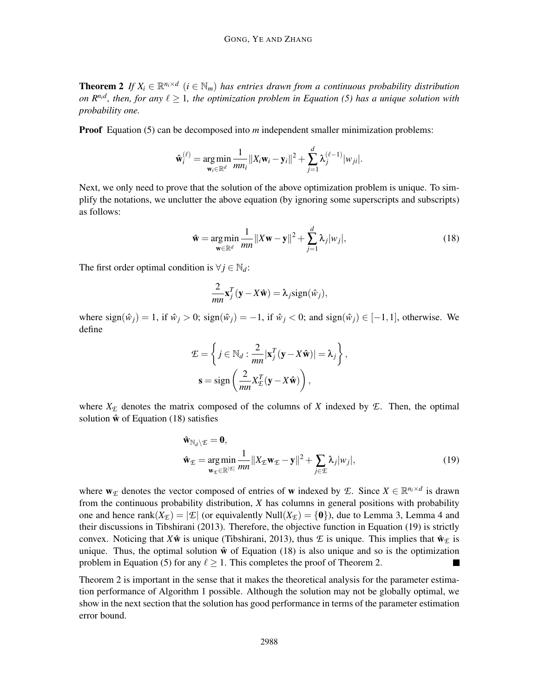**Theorem 2** If  $X_i \in \mathbb{R}^{n_i \times d}$  ( $i \in \mathbb{N}_m$ ) has entries drawn from a continuous probability distribution *on R<sup>n<sub>i</sub>d</sup>*, then, for any  $\ell \geq 1$ , the optimization problem in Equation (5) has a unique solution with *probability one.*

Proof Equation (5) can be decomposed into *m* independent smaller minimization problems:

$$
\hat{\mathbf{w}}_i^{(\ell)} = \underset{\mathbf{w}_i \in \mathbb{R}^d}{\arg \min} \frac{1}{mn_i} ||X_i \mathbf{w}_i - \mathbf{y}_i||^2 + \sum_{j=1}^d \lambda_j^{(\ell-1)} |w_{ji}|.
$$

Next, we only need to prove that the solution of the above optimization problem is unique. To simplify the notations, we unclutter the above equation (by ignoring some superscripts and subscripts) as follows:

$$
\hat{\mathbf{w}} = \underset{\mathbf{w} \in \mathbb{R}^d}{\arg \min} \frac{1}{mn} ||X\mathbf{w} - \mathbf{y}||^2 + \sum_{j=1}^d \lambda_j |w_j|,
$$
\n(18)

The first order optimal condition is  $\forall j \in \mathbb{N}_d$ :

$$
\frac{2}{mn}\mathbf{x}_j^T(\mathbf{y}-X\hat{\mathbf{w}})=\lambda_j \text{sign}(\hat{w}_j),
$$

where  $sign(\hat{w}_i) = 1$ , if  $\hat{w}_i > 0$ ;  $sign(\hat{w}_i) = -1$ , if  $\hat{w}_i < 0$ ; and  $sign(\hat{w}_i) \in [-1,1]$ , otherwise. We define

$$
\mathcal{L} = \left\{ j \in \mathbb{N}_d : \frac{2}{mn} |\mathbf{x}_j^T(\mathbf{y} - X\hat{\mathbf{w}})| = \lambda_j \right\},\
$$

$$
\mathbf{s} = \text{sign}\left(\frac{2}{mn} X_{\mathcal{L}}^T(\mathbf{y} - X\hat{\mathbf{w}})\right),
$$

where  $X_{\mathcal{E}}$  denotes the matrix composed of the columns of *X* indexed by  $\mathcal{E}$ . Then, the optimal solution  $\hat{\mathbf{w}}$  of Equation (18) satisfies

$$
\hat{\mathbf{w}}_{\mathbb{N}_d \setminus \mathcal{E}} = \mathbf{0},
$$
\n
$$
\hat{\mathbf{w}}_{\mathcal{E}} = \underset{\mathbf{w}_{\mathcal{E}} \in \mathbb{R}^{|\mathcal{E}|}}{\text{arg min}} \frac{1}{mn} ||X_{\mathcal{E}} \mathbf{w}_{\mathcal{E}} - \mathbf{y}||^2 + \sum_{j \in \mathcal{E}} \lambda_j |w_j|,
$$
\n(19)

where  $w_{\mathcal{E}}$  denotes the vector composed of entries of w indexed by  $\mathcal{E}$ . Since  $X \in \mathbb{R}^{n_i \times d}$  is drawn from the continuous probability distribution, *X* has columns in general positions with probability one and hence rank $(X_F) = |\mathcal{L}|$  (or equivalently Null $(X_F) = \{0\}$ ), due to Lemma 3, Lemma 4 and their discussions in Tibshirani (2013). Therefore, the objective function in Equation (19) is strictly convex. Noticing that  $X\hat{\mathbf{w}}$  is unique (Tibshirani, 2013), thus  $\mathcal E$  is unique. This implies that  $\hat{\mathbf{w}}_{\mathcal F}$  is unique. Thus, the optimal solution  $\hat{w}$  of Equation (18) is also unique and so is the optimization problem in Equation (5) for any  $\ell > 1$ . This completes the proof of Theorem 2.

Theorem 2 is important in the sense that it makes the theoretical analysis for the parameter estimation performance of Algorithm 1 possible. Although the solution may not be globally optimal, we show in the next section that the solution has good performance in terms of the parameter estimation error bound.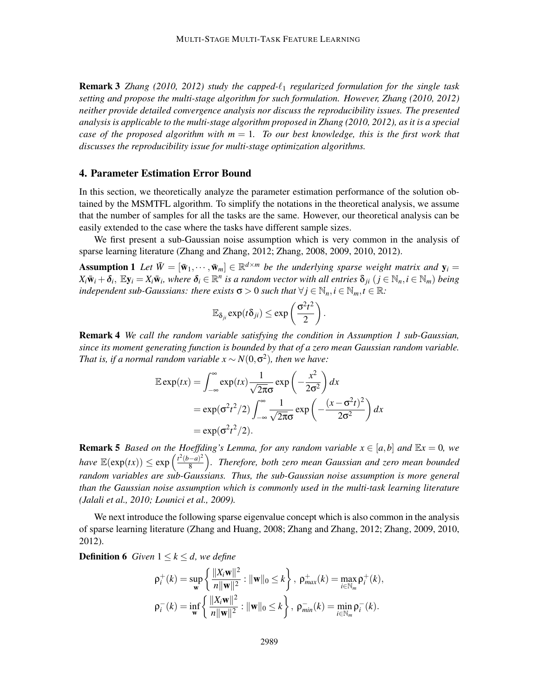Remark 3 *Zhang (2010, 2012) study the capped-*ℓ<sup>1</sup> *regularized formulation for the single task setting and propose the multi-stage algorithm for such formulation. However, Zhang (2010, 2012) neither provide detailed convergence analysis nor discuss the reproducibility issues. The presented analysis is applicable to the multi-stage algorithm proposed in Zhang (2010, 2012), as it is a special case of the proposed algorithm with*  $m = 1$ *. To our best knowledge, this is the first work that discusses the reproducibility issue for multi-stage optimization algorithms.*

# 4. Parameter Estimation Error Bound

In this section, we theoretically analyze the parameter estimation performance of the solution obtained by the MSMTFL algorithm. To simplify the notations in the theoretical analysis, we assume that the number of samples for all the tasks are the same. However, our theoretical analysis can be easily extended to the case where the tasks have different sample sizes.

We first present a sub-Gaussian noise assumption which is very common in the analysis of sparse learning literature (Zhang and Zhang, 2012; Zhang, 2008, 2009, 2010, 2012).

Assumption 1 Let  $\bar{W} = [\bar{w}_1, \dots, \bar{w}_m] \in \mathbb{R}^{d \times m}$  be the underlying sparse weight matrix and  $y_i =$  $X_i\bar{w}_i+\delta_i$ ,  $\mathbb{E}y_i=X_i\bar{w}_i$ , where  $\delta_i\in\mathbb{R}^n$  is a random vector with all entries  $\delta_{ji}$   $(j\in\mathbb{N}_n, i\in\mathbb{N}_m)$  being *independent sub-Gaussians: there exists*  $\sigma > 0$  *such that*  $\forall j \in \mathbb{N}_n, i \in \mathbb{N}_m, t \in \mathbb{R}$ .

$$
\mathbb{E}_{\delta_{ji}} \exp(t\delta_{ji}) \leq \exp\left(\frac{\sigma^2 t^2}{2}\right).
$$

Remark 4 *We call the random variable satisfying the condition in Assumption 1 sub-Gaussian, since its moment generating function is bounded by that of a zero mean Gaussian random variable.* That is, if a normal random variable  $x \sim N(0, \sigma^2)$ , then we have:

$$
\mathbb{E} \exp(tx) = \int_{-\infty}^{\infty} \exp(tx) \frac{1}{\sqrt{2\pi}\sigma} \exp\left(-\frac{x^2}{2\sigma^2}\right) dx
$$
  
=  $\exp(\sigma^2 t^2 / 2) \int_{-\infty}^{\infty} \frac{1}{\sqrt{2\pi}\sigma} \exp\left(-\frac{(x-\sigma^2 t)^2}{2\sigma^2}\right) dx$   
=  $\exp(\sigma^2 t^2 / 2).$ 

**Remark 5** *Based on the Hoeffding's Lemma, for any random variable*  $x \in [a,b]$  *and*  $\mathbb{E}x = 0$ *, we have*  $\mathbb{E}(\exp(tx)) \leq \exp\left(\frac{t^2(b-a)^2}{8}\right)$  $\frac{(-a)^2}{8}$ ). Therefore, both zero mean Gaussian and zero mean bounded *random variables are sub-Gaussians. Thus, the sub-Gaussian noise assumption is more general than the Gaussian noise assumption which is commonly used in the multi-task learning literature (Jalali et al., 2010; Lounici et al., 2009).*

We next introduce the following sparse eigenvalue concept which is also common in the analysis of sparse learning literature (Zhang and Huang, 2008; Zhang and Zhang, 2012; Zhang, 2009, 2010, 2012).

**Definition 6** *Given*  $1 \leq k \leq d$ *, we define* 

$$
\rho_i^+(k) = \sup_{\mathbf{w}} \left\{ \frac{\|X_i \mathbf{w}\|^2}{n \|\mathbf{w}\|^2} : \|\mathbf{w}\|_0 \le k \right\}, \ \rho_{max}^+(k) = \max_{i \in \mathbb{N}_m} \rho_i^+(k),
$$
  

$$
\rho_i^-(k) = \inf_{\mathbf{w}} \left\{ \frac{\|X_i \mathbf{w}\|^2}{n \|\mathbf{w}\|^2} : \|\mathbf{w}\|_0 \le k \right\}, \ \rho_{min}^-(k) = \min_{i \in \mathbb{N}_m} \rho_i^-(k).
$$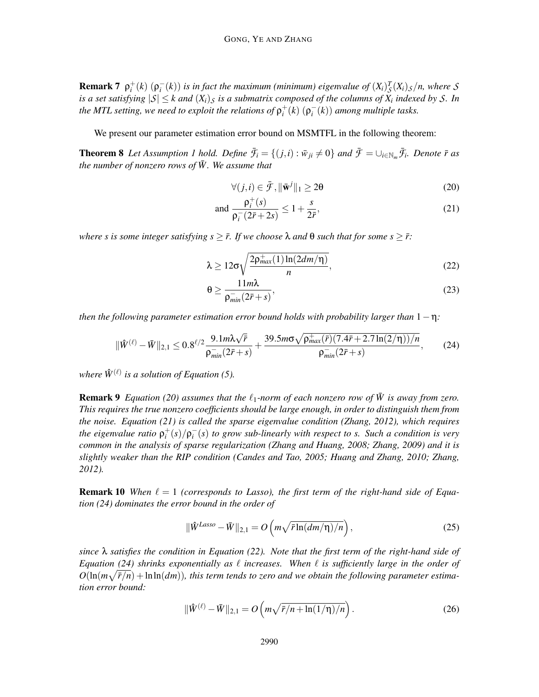**Remark 7**  $\rho_i^+(k)$   $(\rho_i^-(k))$  is in fact the maximum (minimum) eigenvalue of  $(X_i)^T_S(X_i)_S/n$ , where S *is a set satisfying*  $|S| \leq k$  *and*  $(X_i)_S$  *is a submatrix composed of the columns of*  $X_i$  *indexed by*  $S$ *. In the MTL setting, we need to exploit the relations of*  $\rho_i^+(k)$   $(\rho_i^-(k))$  *among multiple tasks.* 

We present our parameter estimation error bound on MSMTFL in the following theorem:

**Theorem 8** Let Assumption 1 hold. Define  $\bar{f}_i = \{(j,i): \bar{w}_{ji} \neq 0\}$  and  $\bar{f} = \cup_{i \in \mathbb{N}_m} \bar{f}_i$ . Denote  $\bar{r}$  as *the number of nonzero rows of*  $\overline{W}$ *. We assume that* 

$$
\forall (j,i) \in \bar{\mathcal{F}}, \|\bar{\mathbf{w}}^j\|_1 \ge 2\theta \tag{20}
$$

and 
$$
\frac{\rho_i^+(s)}{\rho_i^-(2\bar{r}+2s)} \le 1 + \frac{s}{2\bar{r}},
$$
 (21)

*where s is some integer satisfying*  $s \geq \bar{r}$ *. If we choose*  $\lambda$  *and*  $\theta$  *such that for some*  $s \geq \bar{r}$ *:* 

$$
\lambda \ge 12\sigma \sqrt{\frac{2\rho_{max}^+(1)\ln(2dm/\eta)}{n}},\tag{22}
$$

$$
\Theta \ge \frac{11m\lambda}{\rho_{min}^-(2\bar{r}+s)},\tag{23}
$$

*then the following parameter estimation error bound holds with probability larger than* 1−η*:*

$$
\|\hat{W}^{(\ell)} - \bar{W}\|_{2,1} \le 0.8^{\ell/2} \frac{9.1 m \lambda \sqrt{\bar{r}}}{\rho_{\min}^-(2\bar{r} + s)} + \frac{39.5 m \sigma \sqrt{\rho_{\max}^+(\bar{r}) (7.4\bar{r} + 2.7 \ln(2/\eta))/n}}{\rho_{\min}^-(2\bar{r} + s)},\tag{24}
$$

where  $\hat{W}^{(\ell)}$  is a solution of Equation (5).

**Remark 9** *Equation (20) assumes that the*  $\ell_1$ -norm of each nonzero row of  $\bar{W}$  is away from zero. *This requires the true nonzero coefficients should be large enough, in order to distinguish them from the noise. Equation (21) is called the sparse eigenvalue condition (Zhang, 2012), which requires the eigenvalue ratio*  $\rho_i^+(s)/\rho_i^-(s)$  *to grow sub-linearly with respect to s. Such a condition is very common in the analysis of sparse regularization (Zhang and Huang, 2008; Zhang, 2009) and it is slightly weaker than the RIP condition (Candes and Tao, 2005; Huang and Zhang, 2010; Zhang, 2012).*

**Remark 10** When  $\ell = 1$  (corresponds to Lasso), the first term of the right-hand side of Equa*tion (24) dominates the error bound in the order of*

$$
\|\hat{W}^{Lasso} - \bar{W}\|_{2,1} = O\left(m\sqrt{\bar{r}\ln(dm/\eta)/n}\right),\tag{25}
$$

*since* λ *satisfies the condition in Equation (22). Note that the first term of the right-hand side of Equation (24) shrinks exponentially as* ℓ *increases. When* ℓ *is sufficiently large in the order of*  $O(\ln(m\sqrt{\bar{r}/n}) + \ln \ln(dm))$ , this term tends to zero and we obtain the following parameter estima*tion error bound:*

$$
\|\hat{W}^{(\ell)} - \bar{W}\|_{2,1} = O\left(m\sqrt{\bar{r}/n + \ln(1/\eta)/n}\right).
$$
 (26)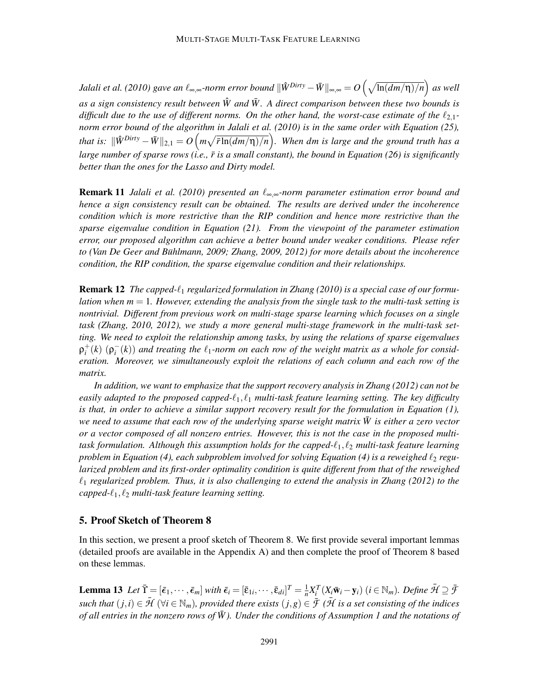*Jalali et al. (2010) gave an l*‰,∞*-norm error bound*  $\|\hat{W}^{Dirty} - \bar{W}\|_{\infty,\infty} = O\left(\sqrt{\ln(dm/\eta)/n}\right)$  *as well* as a sign consistency result between  $\hat{W}$  and  $\bar{W}$ . A direct comparison between these two bounds is *difficult due to the use of different norms. On the other hand, the worst-case estimate of the*  $\ell_{2,1}$ *norm error bound of the algorithm in Jalali et al. (2010) is in the same order with Equation (25), that is:*  $\|\hat{W}^{Dirty} - \bar{W}\|_{2,1} = O\left(m\sqrt{\bar{r}\ln(dm/\eta)/n}\right)$ . When dm is large and the ground truth has a *large number of sparse rows (i.e., r is a small constant), the bound in Equation (26) is significantly* ¯ *better than the ones for the Lasso and Dirty model.*

**Remark 11** *Jalali et al.* (2010) presented an l<sub>∞∞</sub>-norm parameter estimation error bound and *hence a sign consistency result can be obtained. The results are derived under the incoherence condition which is more restrictive than the RIP condition and hence more restrictive than the sparse eigenvalue condition in Equation (21). From the viewpoint of the parameter estimation error, our proposed algorithm can achieve a better bound under weaker conditions. Please refer to (Van De Geer and Bühlmann, 2009; Zhang, 2009, 2012) for more details about the incoherence condition, the RIP condition, the sparse eigenvalue condition and their relationships.*

Remark 12 *The capped-*ℓ<sup>1</sup> *regularized formulation in Zhang (2010) is a special case of our formulation when m* = 1*. However, extending the analysis from the single task to the multi-task setting is nontrivial. Different from previous work on multi-stage sparse learning which focuses on a single task (Zhang, 2010, 2012), we study a more general multi-stage framework in the multi-task setting. We need to exploit the relationship among tasks, by using the relations of sparse eigenvalues*  $p_i^+(k)$   $(p_i^-(k))$  and treating the  $\ell_1$ -norm on each row of the weight matrix as a whole for consid*eration. Moreover, we simultaneously exploit the relations of each column and each row of the matrix.*

*In addition, we want to emphasize that the support recovery analysis in Zhang (2012) can not be easily adapted to the proposed capped-* $\ell_1, \ell_1$  *multi-task feature learning setting. The key difficulty is that, in order to achieve a similar support recovery result for the formulation in Equation (1), we need to assume that each row of the underlying sparse weight matrix*  $\bar{W}$  is either a zero vector *or a vector composed of all nonzero entries. However, this is not the case in the proposed multitask formulation. Although this assumption holds for the capped-*ℓ1, ℓ<sup>2</sup> *multi-task feature learning problem in Equation (4), each subproblem involved for solving Equation (4) is a reweighed*  $\ell_2$  *regularized problem and its first-order optimality condition is quite different from that of the reweighed*  $\ell_1$  regularized problem. Thus, it is also challenging to extend the analysis in Zhang (2012) to the *capped-*ℓ1, ℓ<sup>2</sup> *multi-task feature learning setting.*

# 5. Proof Sketch of Theorem 8

In this section, we present a proof sketch of Theorem 8. We first provide several important lemmas (detailed proofs are available in the Appendix A) and then complete the proof of Theorem 8 based on these lemmas.

**Lemma 13** Let  $\overline{Y} = [\overline{\epsilon}_1, \cdots, \overline{\epsilon}_m]$  with  $\overline{\epsilon}_i = [\overline{\epsilon}_{1i}, \cdots, \overline{\epsilon}_{di}]^T = \frac{1}{n}$  $\frac{1}{n}X_i^T(X_i\bar{\mathbf{w}}_i-\mathbf{y}_i)$   $(i \in \mathbb{N}_m)$ *. Define*  $\bar{\mathcal{H}} \supseteq \bar{\mathcal{F}}$  $such that (j,i) \in \mathcal{H} \ (\forall i \in \mathbb{N}_m)$ , provided there exists  $(j,g) \in \mathcal{F} \ (\mathcal{H} \ is \ a \ set \ consisting \ of \ the \ indices$ *of all entries in the nonzero rows of*  $\bar{W}$ *). Under the conditions of Assumption 1 and the notations of*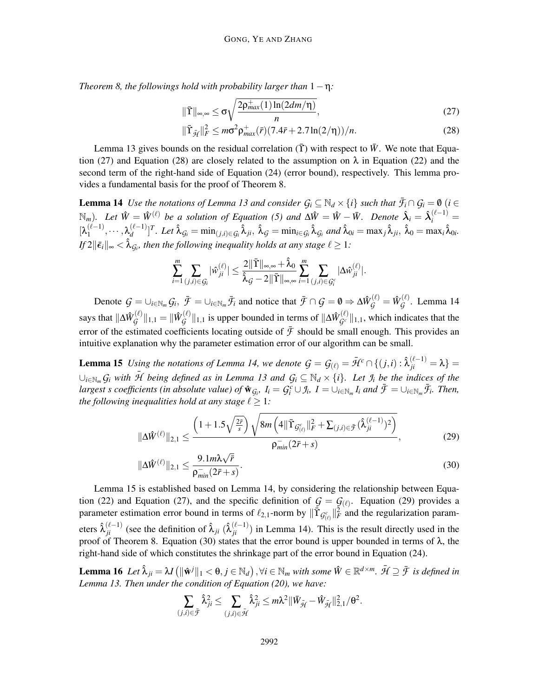*Theorem 8, the followings hold with probability larger than* 1−η*:*

$$
\|\bar{\Upsilon}\|_{\infty,\infty} \leq \sigma \sqrt{\frac{2\rho_{max}^+(1)\ln(2dm/\eta)}{n}},\tag{27}
$$

$$
\|\bar{\Upsilon}_{\bar{\mathcal{H}}}\|_{F}^{2} \leq m\sigma^{2} \rho_{max}^{+}(\bar{r})(7.4\bar{r} + 2.7\ln(2/\eta))/n.
$$
 (28)

Lemma 13 gives bounds on the residual correlation  $(\tilde{\Upsilon})$  with respect to  $\bar{W}$ . We note that Equation (27) and Equation (28) are closely related to the assumption on  $\lambda$  in Equation (22) and the second term of the right-hand side of Equation (24) (error bound), respectively. This lemma provides a fundamental basis for the proof of Theorem 8.

**Lemma 14** *Use the notations of Lemma 13 and consider*  $G_i \subseteq \mathbb{N}_d \times \{i\}$  *such that*  $\overline{F_i} \cap G_i = 0$  (*i* ∈  $\mathbb{N}_m$ *)*. Let  $\hat{W} = \hat{W}^{(\ell)}$  be a solution of Equation (5) and  $\Delta \hat{W} = \hat{W} - \bar{W}$ . Denote  $\hat{\lambda}_i = \hat{\lambda}_i^{(\ell-1)} = \hat{\lambda}_i^{(\ell-1)}$  $[\lambda_1^{(\ell-1)}, \cdots, \lambda_d^{(\ell-1)}]^T$ . Let  $\hat{\lambda}_{\mathcal{G}_i} = \min_{(j,i) \in \mathcal{G}_i} \hat{\lambda}_{ji}$ ,  $\hat{\lambda}_{\mathcal{G}} = \min_{i \in \mathcal{G}_i} \hat{\lambda}_{\mathcal{G}_i}$  and  $\hat{\lambda}_{0i} = \max_j \hat{\lambda}_{ji}$ ,  $\hat{\lambda}_0 = \max_i \hat{\lambda}_{0i}$ . *If*  $2\|\bar{\boldsymbol{\epsilon}}_i\|_{\infty} < \hat{\lambda}_{\mathcal{G}_i}$ , then the following inequality holds at any stage  $\ell \geq 1$ :

$$
\sum_{i=1}^m \sum_{(j,i)\in\mathcal{G}_i} |\hat{w}_{ji}^{(\ell)}| \leq \frac{2\|\bar{\Upsilon}\|_{\infty,\infty} + \hat{\lambda}_0}{\hat{\lambda}_{\mathcal{G}} - 2\|\bar{\Upsilon}\|_{\infty,\infty}} \sum_{i=1}^m \sum_{(j,i)\in\mathcal{G}_i^c} |\Delta \hat{w}_{ji}^{(\ell)}|.
$$

Denote  $G = \cup_{i \in \mathbb{N}_m} G_i$ ,  $\bar{\mathcal{F}} = \cup_{i \in \mathbb{N}_m} \bar{\mathcal{F}}_i$  and notice that  $\bar{\mathcal{F}} \cap \mathcal{G} = \emptyset \Rightarrow \Delta \hat{W}_{\mathcal{G}}^{(\ell)} = \hat{W}_{\mathcal{G}}^{(\ell)}$  $G^{(\ell)}$ . Lemma 14 says that  $\| \Delta \hat{W}_{\mathcal{G}}^{(\ell)}$  $\mathcal{G}^{(\ell)} \|_{1,1} = \| \hat{W}_{\mathcal{G}}^{(\ell)} \|$  $G_G^{(\ell)}||_{1,1}$  is upper bounded in terms of  $\|\Delta \hat{W}_{G^c}^{(\ell)}||_{1,1}$ , which indicates that the error of the estimated coefficients locating outside of  $\bar{f}$  should be small enough. This provides an intuitive explanation why the parameter estimation error of our algorithm can be small.

**Lemma 15** *Using the notations of Lemma 14, we denote*  $G = G_{(\ell)} = \bar{\mathcal{H}}^c \cap \{(j,i): \hat{\lambda}_{ji}^{(\ell-1)} = \lambda\}$  $∪_{i∈\mathbb{N}_m}$   $G_i$  with  $\overline{\mathcal{H}}$  being defined as in Lemma 13 and  $G_i$  ⊆  $\mathbb{N}_d$  ×  $\{i\}$ *. Let*  $\mathcal{I}_i$  be the indices of the largest s coefficients (in absolute value) of  $\mathbf{\hat{w}}_{G_i}$ ,  $I_i = G_i^c \cup f_i$ ,  $I = \cup_{i \in \mathbb{N}_m} I_i$  and  $\bar{\mathcal{F}} = \cup_{i \in \mathbb{N}_m} \bar{\mathcal{F}}_i$ . Then, *the following inequalities hold at any stage*  $\ell \geq 1$ *:* 

$$
\|\Delta \hat{W}^{(\ell)}\|_{2,1} \le \frac{\left(1+1.5\sqrt{\frac{2\bar{r}}{s}}\right)\sqrt{8m\left(4\|\bar{\Upsilon}_{\mathcal{G}^{c}_{(\ell)}}\|_{F}^{2} + \sum_{(j,i)\in\bar{\mathcal{F}}}(\hat{\lambda}_{ji}^{(\ell-1)})^{2}\right)}}{\rho_{min}^{-}(2\bar{r}+s)},
$$
(29)

$$
\|\Delta \hat{W}^{(\ell)}\|_{2,1} \le \frac{9.1m\lambda\sqrt{\bar{r}}}{\rho_{\min}^-(2\bar{r}+s)}.
$$
\n(30)

Lemma 15 is established based on Lemma 14, by considering the relationship between Equation (22) and Equation (27), and the specific definition of  $G = G(\ell)$ . Equation (29) provides a parameter estimation error bound in terms of  $\ell_{2,1}$ -norm by  $\|\tilde{T}_{\mathcal{G}^c_{(\ell)}}\|_F^2$  and the regularization parameters  $\hat{\lambda}_{ji}^{(\ell-1)}$  (see the definition of  $\hat{\lambda}_{ji}$  ( $\hat{\lambda}_{ji}^{(\ell-1)}$ ) in Lemma 14). This is the result directly used in the proof of Theorem 8. Equation (30) states that the error bound is upper bounded in terms of  $λ$ , the right-hand side of which constitutes the shrinkage part of the error bound in Equation (24).

Lemma 16 Let  $\hat{\lambda}_{ji} = \lambda I \left( \|\hat{\mathbf{w}}^j\|_1 < \theta, j \in \mathbb{N}_d \right), \forall i \in \mathbb{N}_m \text{ with some } \hat{W} \in \mathbb{R}^{d \times m}$ .  $\bar{\mathcal{H}} \supseteq \bar{\mathcal{F}}$  is defined in *Lemma 13. Then under the condition of Equation (20), we have:*

$$
\sum_{(j,i)\in\tilde{\mathcal{F}}}\hat{\lambda}_{ji}^2\leq \sum_{(j,i)\in\tilde{\mathcal{H}}}\hat{\lambda}_{ji}^2\leq m\lambda^2\|\bar{W}_{\tilde{\mathcal{H}}} - \hat{W}_{\tilde{\mathcal{H}}}\|_{2,1}^2/\theta^2.
$$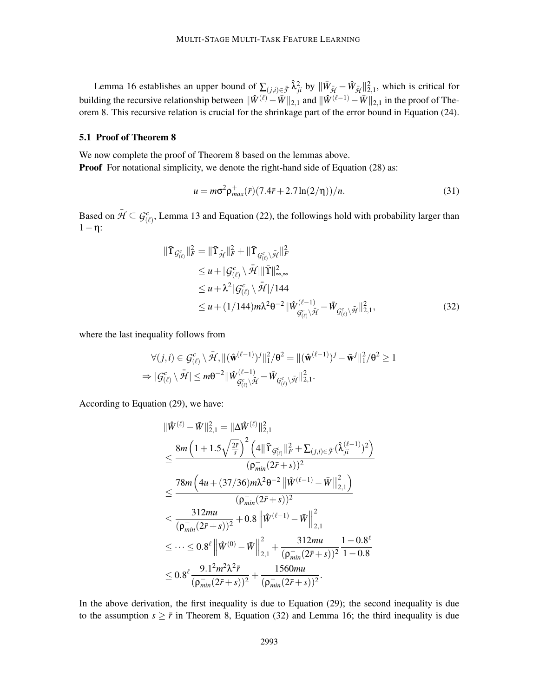Lemma 16 establishes an upper bound of  $\sum_{(j,i)\in\bar{\mathcal{F}}} \hat{\lambda}_{ji}^2$  by  $\|\bar{W}_{\bar{\mathcal{H}}} - \hat{W}_{\bar{\mathcal{H}}} \|_{2,1}^2$ , which is critical for building the recursive relationship between  $\|\hat{W}^{(\ell)} - \bar{W}\|_{2,1}$  and  $\|\hat{W}^{(\ell-1)} - \bar{W}\|_{2,1}$  in the proof of Theorem 8. This recursive relation is crucial for the shrinkage part of the error bound in Equation (24).

# 5.1 Proof of Theorem 8

We now complete the proof of Theorem 8 based on the lemmas above. **Proof** For notational simplicity, we denote the right-hand side of Equation (28) as:

$$
u = m\sigma^2 \rho_{max}^+(\bar{r}) (7.4\bar{r} + 2.7\ln(2/\eta))/n.
$$
 (31)

Based on  $\bar{\mathcal{H}} \subseteq \mathcal{G}_{(\ell)}^c$ , Lemma 13 and Equation (22), the followings hold with probability larger than  $1-\eta$ :

$$
\begin{split} \|\bar{\Upsilon}_{\mathcal{G}_{(\ell)}^{c}}\|_{F}^{2} &= \|\bar{\Upsilon}_{\mathcal{H}}\|_{F}^{2} + \|\bar{\Upsilon}_{\mathcal{G}_{(\ell)}^{c}}\rangle\bar{\mathcal{H}}\|_{F}^{2} \\ &\leq u + |\mathcal{G}_{(\ell)}^{c}\setminus\bar{\mathcal{H}}|\|\bar{\Upsilon}\|_{\infty,\infty}^{2} \\ &\leq u + \lambda^{2}|\mathcal{G}_{(\ell)}^{c}\setminus\bar{\mathcal{H}}|/144 \\ &\leq u + (1/144)m\lambda^{2}\theta^{-2}\|\hat{W}_{\mathcal{G}_{(\ell)}^{c}\setminus\bar{\mathcal{H}}}^{(\ell-1)} - \bar{W}_{\mathcal{G}_{(\ell)}^{c}\setminus\bar{\mathcal{H}}}^{2}\|_{2,1}^{2}, \end{split} \tag{32}
$$

where the last inequality follows from

$$
\forall (j,i) \in \mathcal{G}_{(\ell)}^c \setminus \bar{\mathcal{H}}, \|(\hat{\mathbf{w}}^{(\ell-1)})^j\|_1^2 / \theta^2 = \|(\hat{\mathbf{w}}^{(\ell-1)})^j - \bar{\mathbf{w}}^j\|_1^2 / \theta^2 \ge 1 \Rightarrow |\mathcal{G}_{(\ell)}^c \setminus \bar{\mathcal{H}}| \le m\theta^{-2} \|\hat{W}_{\mathcal{G}_{(\ell)}^c \setminus \bar{\mathcal{H}}}^{(\ell-1)} - \bar{W}_{\mathcal{G}_{(\ell)}^c \setminus \bar{\mathcal{H}}} \|_{2,1}^2.
$$

According to Equation (29), we have:

$$
\|\hat{W}^{(\ell)} - \bar{W}\|_{2,1}^{2} = \|\Delta \hat{W}^{(\ell)}\|_{2,1}^{2}
$$
\n
$$
\leq \frac{8m\left(1 + 1.5\sqrt{\frac{2\bar{r}}{s}}\right)^{2}\left(4\|\bar{\Upsilon}_{\mathcal{G}^{c}_{(\ell)}}\|_{\bar{F}}^{2} + \sum_{(j,i) \in \bar{\mathcal{F}}} (\hat{\lambda}_{ji}^{(\ell-1)})^{2}\right)}{(\rho_{min}^{-}(2\bar{r} + s))^{2}}
$$
\n
$$
\leq \frac{78m\left(4u + (37/36)m\lambda^{2}\theta^{-2}\left\|\hat{W}^{(\ell-1)} - \bar{W}\right\|_{2,1}^{2}\right)}{(\rho_{min}^{-}(2\bar{r} + s))^{2}}
$$
\n
$$
\leq \frac{312mu}{(\rho_{min}^{-}(2\bar{r} + s))^{2}} + 0.8\left\|\hat{W}^{(\ell-1)} - \bar{W}\right\|_{2,1}^{2}
$$
\n
$$
\leq \cdots \leq 0.8^{\ell}\left\|\hat{W}^{(0)} - \bar{W}\right\|_{2,1}^{2} + \frac{312mu}{(\rho_{min}^{-}(2\bar{r} + s))^{2}} \frac{1 - 0.8^{\ell}}{1 - 0.8}
$$
\n
$$
\leq 0.8^{\ell} \frac{9.1^{2}m^{2}\lambda^{2}\bar{r}}{(\rho_{min}^{-}(2\bar{r} + s))^{2}} + \frac{1560mu}{(\rho_{min}^{-}(2\bar{r} + s))^{2}}.
$$

In the above derivation, the first inequality is due to Equation (29); the second inequality is due to the assumption  $s \geq \bar{r}$  in Theorem 8, Equation (32) and Lemma 16; the third inequality is due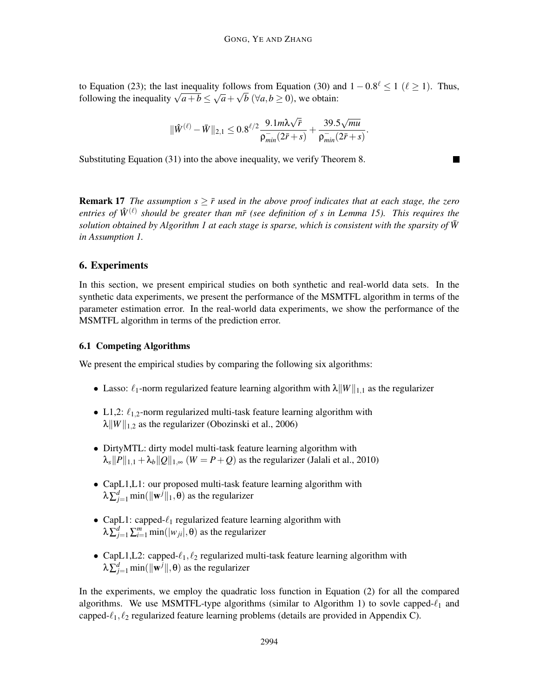to Equation (23); the last inequality follows from Equation (30) and  $1 - 0.8^{\ell} \le 1$  ( $\ell \ge 1$ ). Thus, following the inequality  $\sqrt{a+b} \leq \sqrt{a} + \sqrt{b}$  ( $\forall a,b \geq 0$ ), we obtain:

$$
\|\hat W^{(\ell)} - \bar W\|_{2,1} \leq 0.8^{\ell/2} \frac{9.1 m \lambda \sqrt{\bar r}}{\rho_{\text{min}}^-(2\bar r + s)} + \frac{39.5 \sqrt{\text{mu}}}{\rho_{\text{min}}^-(2\bar r + s)}.
$$

Substituting Equation (31) into the above inequality, we verify Theorem 8.

**Remark 17** The assumption  $s \geq \bar{r}$  used in the above proof indicates that at each stage, the zero entries of  $\hat{W}^{(\ell)}$  should be greater than m $\bar{r}$  (see definition of s in Lemma 15). This requires the *solution obtained by Algorithm 1 at each stage is sparse, which is consistent with the sparsity of*  $\bar{W}$ *in Assumption 1.*

# 6. Experiments

In this section, we present empirical studies on both synthetic and real-world data sets. In the synthetic data experiments, we present the performance of the MSMTFL algorithm in terms of the parameter estimation error. In the real-world data experiments, we show the performance of the MSMTFL algorithm in terms of the prediction error.

#### 6.1 Competing Algorithms

We present the empirical studies by comparing the following six algorithms:

- Lasso:  $\ell_1$ -norm regularized feature learning algorithm with  $\lambda ||W||_{1,1}$  as the regularizer
- L1,2:  $\ell_{1,2}$ -norm regularized multi-task feature learning algorithm with  $\lambda \|W\|_{1,2}$  as the regularizer (Obozinski et al., 2006)
- DirtyMTL: dirty model multi-task feature learning algorithm with  $\lambda_s$ ||P||<sub>1,1</sub> +  $\lambda_b$ ||Q||<sub>1,∞</sub> (*W* = *P* + Q) as the regularizer (Jalali et al., 2010)
- CapL1,L1: our proposed multi-task feature learning algorithm with  $\lambda \sum_{j=1}^d \min(\|\mathbf{w}^j\|_1,\mathbf{\theta})$  as the regularizer
- CapL1: capped- $\ell_1$  regularized feature learning algorithm with  $\lambda \sum_{j=1}^d \sum_{i=1}^m \min(|w_{ji}|, \boldsymbol{\theta})$  as the regularizer
- CapL1, L2: capped- $\ell_1, \ell_2$  regularized multi-task feature learning algorithm with  $\lambda \sum_{j=1}^d \min(\|\mathbf{w}^j\|, \theta)$  as the regularizer

In the experiments, we employ the quadratic loss function in Equation (2) for all the compared algorithms. We use MSMTFL-type algorithms (similar to Algorithm 1) to sovle capped- $\ell_1$  and capped- $\ell_1, \ell_2$  regularized feature learning problems (details are provided in Appendix C).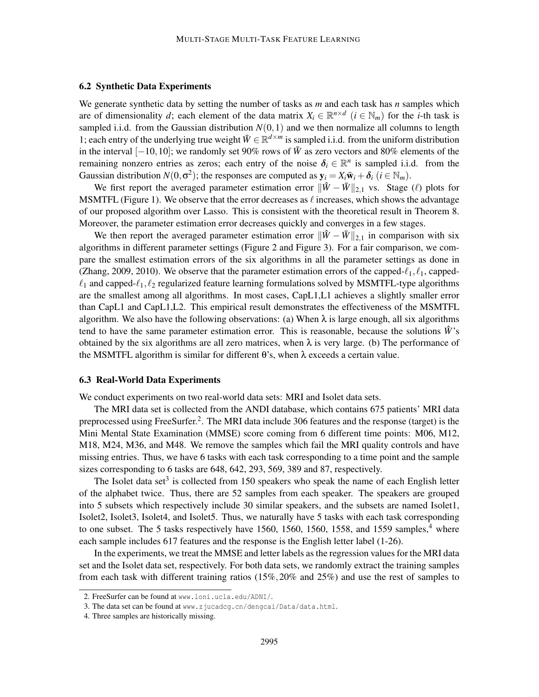# 6.2 Synthetic Data Experiments

We generate synthetic data by setting the number of tasks as *m* and each task has *n* samples which are of dimensionality *d*; each element of the data matrix  $X_i \in \mathbb{R}^{n \times d}$  ( $i \in \mathbb{N}_m$ ) for the *i*-th task is sampled i.i.d. from the Gaussian distribution  $N(0,1)$  and we then normalize all columns to length 1; each entry of the underlying true weight  $\overline{W} \in \mathbb{R}^{d \times m}$  is sampled i.i.d. from the uniform distribution in the interval  $[-10,10]$ ; we randomly set 90% rows of  $\bar{W}$  as zero vectors and 80% elements of the remaining nonzero entries as zeros; each entry of the noise  $\delta_i \in \mathbb{R}^n$  is sampled i.i.d. from the Gaussian distribution  $N(0, \sigma^2)$ ; the responses are computed as  $y_i = X_i \bar{w}_i + \delta_i$  ( $i \in \mathbb{N}_m$ ).

We first report the averaged parameter estimation error  $\|\hat{W} - \bar{W}\|_{2,1}$  vs. Stage (ℓ) plots for MSMTFL (Figure 1). We observe that the error decreases as  $\ell$  increases, which shows the advantage of our proposed algorithm over Lasso. This is consistent with the theoretical result in Theorem 8. Moreover, the parameter estimation error decreases quickly and converges in a few stages.

We then report the averaged parameter estimation error  $\|\hat{W} - \bar{W}\|_{2,1}$  in comparison with six algorithms in different parameter settings (Figure 2 and Figure 3). For a fair comparison, we compare the smallest estimation errors of the six algorithms in all the parameter settings as done in (Zhang, 2009, 2010). We observe that the parameter estimation errors of the capped- $\ell_1, \ell_1$ , capped- $\ell_1$  and capped- $\ell_1, \ell_2$  regularized feature learning formulations solved by MSMTFL-type algorithms are the smallest among all algorithms. In most cases, CapL1,L1 achieves a slightly smaller error than CapL1 and CapL1,L2. This empirical result demonstrates the effectiveness of the MSMTFL algorithm. We also have the following observations: (a) When  $\lambda$  is large enough, all six algorithms tend to have the same parameter estimation error. This is reasonable, because the solutions  $\hat{W}$ 's obtained by the six algorithms are all zero matrices, when  $\lambda$  is very large. (b) The performance of the MSMTFL algorithm is similar for different  $\theta$ 's, when  $\lambda$  exceeds a certain value.

# 6.3 Real-World Data Experiments

We conduct experiments on two real-world data sets: MRI and Isolet data sets.

The MRI data set is collected from the ANDI database, which contains 675 patients' MRI data preprocessed using FreeSurfer.<sup>2</sup>. The MRI data include 306 features and the response (target) is the Mini Mental State Examination (MMSE) score coming from 6 different time points: M06, M12, M18, M24, M36, and M48. We remove the samples which fail the MRI quality controls and have missing entries. Thus, we have 6 tasks with each task corresponding to a time point and the sample sizes corresponding to 6 tasks are 648, 642, 293, 569, 389 and 87, respectively.

The Isolet data set<sup>3</sup> is collected from 150 speakers who speak the name of each English letter of the alphabet twice. Thus, there are 52 samples from each speaker. The speakers are grouped into 5 subsets which respectively include 30 similar speakers, and the subsets are named Isolet1, Isolet2, Isolet3, Isolet4, and Isolet5. Thus, we naturally have 5 tasks with each task corresponding to one subset. The 5 tasks respectively have 1560, 1560, 1560, 1558, and 1559 samples,  $4^4$  where each sample includes 617 features and the response is the English letter label (1-26).

In the experiments, we treat the MMSE and letter labels as the regression values for the MRI data set and the Isolet data set, respectively. For both data sets, we randomly extract the training samples from each task with different training ratios (15%,20% and 25%) and use the rest of samples to

<sup>2.</sup> FreeSurfer can be found at www.loni.ucla.edu/ADNI/.

<sup>3.</sup> The data set can be found at www.zjucadcg.cn/dengcai/Data/data.html.

<sup>4.</sup> Three samples are historically missing.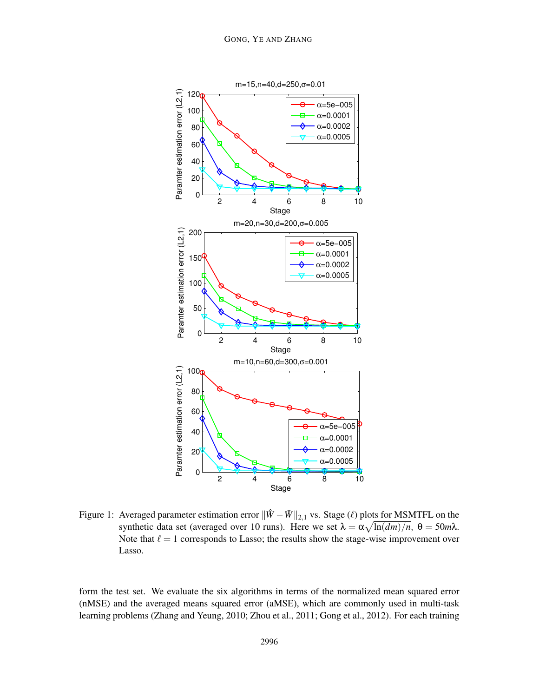

Figure 1: Averaged parameter estimation error  $\|\hat{W} - \bar{W}\|_{2,1}$  vs. Stage ( $\ell$ ) plots for MSMTFL on the synthetic data set (averaged over 10 runs). Here we set  $\lambda = \alpha \sqrt{\ln(dm)/n}$ ,  $\theta = 50m\lambda$ . Note that  $\ell = 1$  corresponds to Lasso; the results show the stage-wise improvement over Lasso.

form the test set. We evaluate the six algorithms in terms of the normalized mean squared error (nMSE) and the averaged means squared error (aMSE), which are commonly used in multi-task learning problems (Zhang and Yeung, 2010; Zhou et al., 2011; Gong et al., 2012). For each training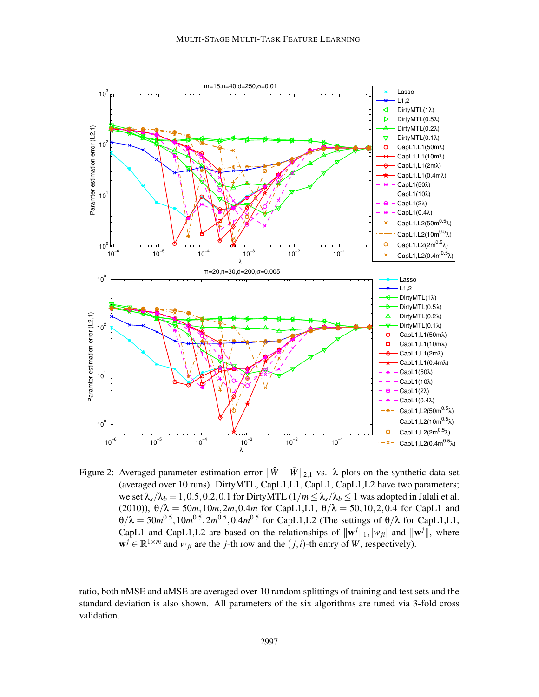

Figure 2: Averaged parameter estimation error  $\|\hat{W} - \bar{W}\|_{2,1}$  vs.  $\lambda$  plots on the synthetic data set (averaged over 10 runs). DirtyMTL, CapL1,L1, CapL1, CapL1,L2 have two parameters; we set  $\lambda_s/\lambda_b = 1, 0.5, 0.2, 0.1$  for DirtyMTL  $(1/m \leq \lambda_s/\lambda_b \leq 1$  was adopted in Jalali et al. (2010)),  $\theta/\lambda = 50m, 10m, 2m, 0.4m$  for CapL1,L1,  $\theta/\lambda = 50, 10, 2, 0.4$  for CapL1 and  $\theta/\lambda = 50m^{0.5}, 10m^{0.5}, 2m^{0.5}, 0.4m^{0.5}$  for CapL1,L2 (The settings of  $\theta/\lambda$  for CapL1,L1, CapL1 and CapL1, L2 are based on the relationships of  $\|\mathbf{w}^j\|_1,|\mathbf{w}_{ji}|$  and  $\|\mathbf{w}^j\|$ , where  $\mathbf{w}^j \in \mathbb{R}^{1 \times m}$  and  $w_{ji}$  are the *j*-th row and the  $(j, i)$ -th entry of *W*, respectively).

ratio, both nMSE and aMSE are averaged over 10 random splittings of training and test sets and the standard deviation is also shown. All parameters of the six algorithms are tuned via 3-fold cross validation.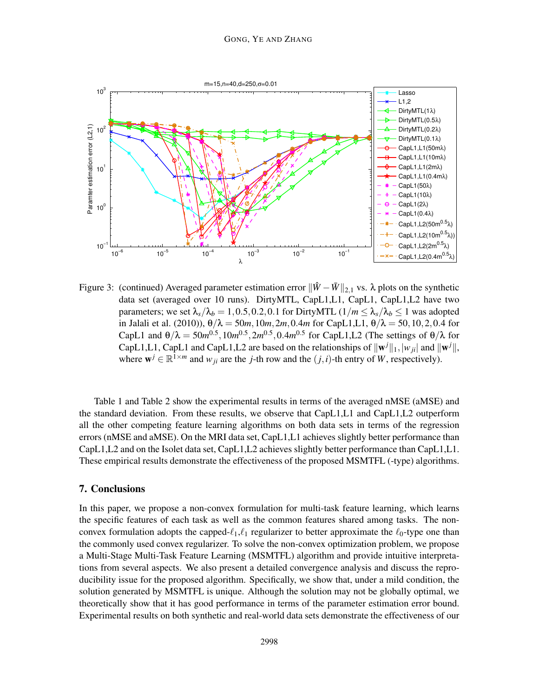

Figure 3: (continued) Averaged parameter estimation error  $\|\hat{W} - \bar{W}\|_{2,1}$  vs.  $\lambda$  plots on the synthetic data set (averaged over 10 runs). DirtyMTL, CapL1,L1, CapL1, CapL1,L2 have two parameters; we set  $\lambda_s/\lambda_b = 1, 0.5, 0.2, 0.1$  for DirtyMTL  $(1/m \leq \lambda_s/\lambda_b \leq 1$  was adopted in Jalali et al. (2010)),  $\theta/\lambda = 50m, 10m, 2m, 0.4m$  for CapL1,L1,  $\theta/\lambda = 50, 10, 2, 0.4$  for CapL1 and  $\theta/\lambda = 50m^{0.5}, 10m^{0.5}, 2m^{0.5}, 0.4m^{0.5}$  for CapL1,L2 (The settings of  $\theta/\lambda$  for CapL1,L1, CapL1 and CapL1,L2 are based on the relationships of  $\|\mathbf{w}^j\|_1, |\mathbf{w}_{ji}|$  and  $\|\mathbf{w}^j\|$ , where  $\mathbf{w}^j \in \mathbb{R}^{1 \times m}$  and  $w_{ji}$  are the *j*-th row and the  $(j, i)$ -th entry of *W*, respectively).

Table 1 and Table 2 show the experimental results in terms of the averaged nMSE (aMSE) and the standard deviation. From these results, we observe that CapL1,L1 and CapL1,L2 outperform all the other competing feature learning algorithms on both data sets in terms of the regression errors (nMSE and aMSE). On the MRI data set, CapL1,L1 achieves slightly better performance than CapL1,L2 and on the Isolet data set, CapL1,L2 achieves slightly better performance than CapL1,L1. These empirical results demonstrate the effectiveness of the proposed MSMTFL (-type) algorithms.

# 7. Conclusions

In this paper, we propose a non-convex formulation for multi-task feature learning, which learns the specific features of each task as well as the common features shared among tasks. The nonconvex formulation adopts the capped- $\ell_1, \ell_1$  regularizer to better approximate the  $\ell_0$ -type one than the commonly used convex regularizer. To solve the non-convex optimization problem, we propose a Multi-Stage Multi-Task Feature Learning (MSMTFL) algorithm and provide intuitive interpretations from several aspects. We also present a detailed convergence analysis and discuss the reproducibility issue for the proposed algorithm. Specifically, we show that, under a mild condition, the solution generated by MSMTFL is unique. Although the solution may not be globally optimal, we theoretically show that it has good performance in terms of the parameter estimation error bound. Experimental results on both synthetic and real-world data sets demonstrate the effectiveness of our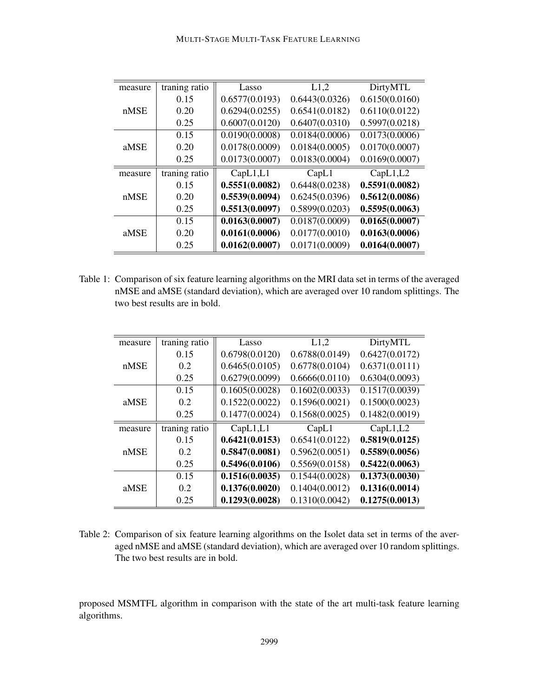| measure | traning ratio | Lasso          | L1,2           | DirtyMTL       |
|---------|---------------|----------------|----------------|----------------|
| nMSE    | 0.15          | 0.6577(0.0193) | 0.6443(0.0326) | 0.6150(0.0160) |
|         | 0.20          | 0.6294(0.0255) | 0.6541(0.0182) | 0.6110(0.0122) |
|         | 0.25          | 0.6007(0.0120) | 0.6407(0.0310) | 0.5997(0.0218) |
| aMSE    | 0.15          | 0.0190(0.0008) | 0.0184(0.0006) | 0.0173(0.0006) |
|         | 0.20          | 0.0178(0.0009) | 0.0184(0.0005) | 0.0170(0.0007) |
|         | 0.25          | 0.0173(0.0007) | 0.0183(0.0004) | 0.0169(0.0007) |
| measure | traning ratio | CapL1,L1       | CapL1          | CapL1,L2       |
| nMSE    | 0.15          | 0.5551(0.0082) | 0.6448(0.0238) | 0.5591(0.0082) |
|         | 0.20          | 0.5539(0.0094) | 0.6245(0.0396) | 0.5612(0.0086) |
|         | 0.25          | 0.5513(0.0097) | 0.5899(0.0203) | 0.5595(0.0063) |
| aMSE    | 0.15          | 0.0163(0.0007) | 0.0187(0.0009) | 0.0165(0.0007) |
|         | 0.20          | 0.0161(0.0006) | 0.0177(0.0010) | 0.0163(0.0006) |
|         | 0.25          | 0.0162(0.0007) | 0.0171(0.0009) | 0.0164(0.0007) |

Table 1: Comparison of six feature learning algorithms on the MRI data set in terms of the averaged nMSE and aMSE (standard deviation), which are averaged over 10 random splittings. The two best results are in bold.

| measure | traning ratio | Lasso          | L1,2           | DirtyMTL       |
|---------|---------------|----------------|----------------|----------------|
| nMSE    | 0.15          | 0.6798(0.0120) | 0.6788(0.0149) | 0.6427(0.0172) |
|         | 0.2           | 0.6465(0.0105) | 0.6778(0.0104) | 0.6371(0.0111) |
|         | 0.25          | 0.6279(0.0099) | 0.6666(0.0110) | 0.6304(0.0093) |
| aMSE    | 0.15          | 0.1605(0.0028) | 0.1602(0.0033) | 0.1517(0.0039) |
|         | 0.2           | 0.1522(0.0022) | 0.1596(0.0021) | 0.1500(0.0023) |
|         | 0.25          | 0.1477(0.0024) | 0.1568(0.0025) | 0.1482(0.0019) |
| measure | traning ratio | CapL1,L1       | CapL1          | CapL1,L2       |
| nMSE    | 0.15          | 0.6421(0.0153) | 0.6541(0.0122) | 0.5819(0.0125) |
|         | 0.2           | 0.5847(0.0081) | 0.5962(0.0051) | 0.5589(0.0056) |
|         | 0.25          | 0.5496(0.0106) | 0.5569(0.0158) | 0.5422(0.0063) |
| aMSE    | 0.15          | 0.1516(0.0035) | 0.1544(0.0028) | 0.1373(0.0030) |
|         | 0.2           | 0.1376(0.0020) | 0.1404(0.0012) | 0.1316(0.0014) |
|         | 0.25          | 0.1293(0.0028) | 0.1310(0.0042) | 0.1275(0.0013) |

Table 2: Comparison of six feature learning algorithms on the Isolet data set in terms of the averaged nMSE and aMSE (standard deviation), which are averaged over 10 random splittings. The two best results are in bold.

proposed MSMTFL algorithm in comparison with the state of the art multi-task feature learning algorithms.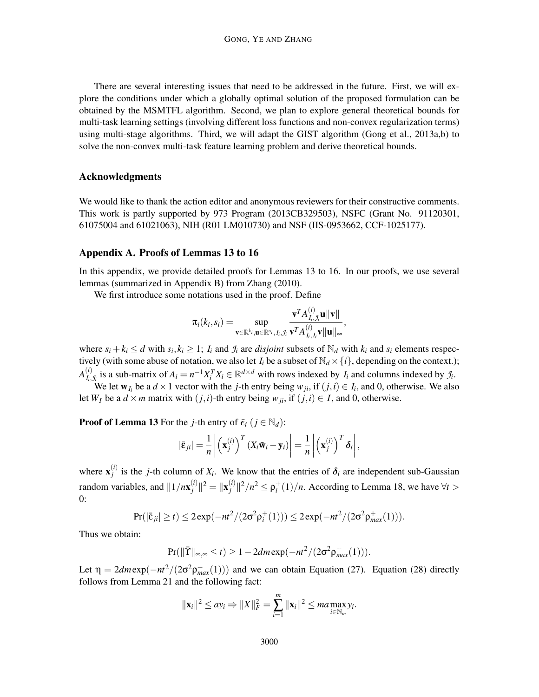There are several interesting issues that need to be addressed in the future. First, we will explore the conditions under which a globally optimal solution of the proposed formulation can be obtained by the MSMTFL algorithm. Second, we plan to explore general theoretical bounds for multi-task learning settings (involving different loss functions and non-convex regularization terms) using multi-stage algorithms. Third, we will adapt the GIST algorithm (Gong et al., 2013a,b) to solve the non-convex multi-task feature learning problem and derive theoretical bounds.

# Acknowledgments

We would like to thank the action editor and anonymous reviewers for their constructive comments. This work is partly supported by 973 Program (2013CB329503), NSFC (Grant No. 91120301, 61075004 and 61021063), NIH (R01 LM010730) and NSF (IIS-0953662, CCF-1025177).

#### Appendix A. Proofs of Lemmas 13 to 16

In this appendix, we provide detailed proofs for Lemmas 13 to 16. In our proofs, we use several lemmas (summarized in Appendix B) from Zhang (2010).

We first introduce some notations used in the proof. Define

$$
\pi_i(k_i,s_i) = \sup_{\mathbf{v} \in \mathbb{R}^{k_i}, \mathbf{u} \in \mathbb{R}^{s_i}, I_i, \mathcal{I}_i} \frac{\mathbf{v}^T A_{I_i,\mathcal{I}_i}^{(i)} \mathbf{u} \|\mathbf{v}\|}{\mathbf{v}^T A_{I_i,I_i}^{(i)} \mathbf{v} \|\mathbf{u}\|_{\infty}},
$$

where  $s_i + k_i \le d$  with  $s_i, k_i \ge 1$ ;  $I_i$  and  $\mathcal{I}_i$  are *disjoint* subsets of  $\mathbb{N}_d$  with  $k_i$  and  $s_i$  elements respectively (with some abuse of notation, we also let  $I_i$  be a subset of  $\mathbb{N}_d \times \{i\}$ , depending on the context.);  $A_{L}^{(i)}$  $_{I_i,J_i}^{(i)}$  is a sub-matrix of  $A_i = n^{-1}X_i^T X_i \in \mathbb{R}^{d \times d}$  with rows indexed by  $I_i$  and columns indexed by  $\mathcal{I}_i$ .

We let  $w_{I_i}$  be a  $d \times 1$  vector with the *j*-th entry being  $w_{ji}$ , if  $(j, i) \in I_i$ , and 0, otherwise. We also let  $W_I$  be a  $d \times m$  matrix with  $(j, i)$ -th entry being  $w_{ii}$ , if  $(j, i) \in I$ , and 0, otherwise.

**Proof of Lemma 13** For the *j*-th entry of  $\bar{\epsilon}_i$  ( $j \in \mathbb{N}_d$ ):

$$
\left|\bar{\varepsilon}_{ji}\right| = \frac{1}{n} \left| \left( \mathbf{x}_{j}^{(i)} \right)^{T} \left( X_{i} \bar{\mathbf{w}}_{i} - \mathbf{y}_{i} \right) \right| = \frac{1}{n} \left| \left( \mathbf{x}_{j}^{(i)} \right)^{T} \delta_{i} \right|,
$$

where  $\mathbf{x}_i^{(i)}$  $j_j^{(i)}$  is the *j*-th column of *X<sub>i</sub>*. We know that the entries of  $\delta_i$  are independent sub-Gaussian random variables, and  $||1/nx_j^{(i)}||$  $\|j^{(i)}\|^2 = \|{\bf x}_j^{(i)}\|$  $\int_{i}^{(i)}$  ||<sup>2</sup>/*n*<sup>2</sup>  $\leq \rho_i^+(1)/n$ . According to Lemma 18, we have  $\forall t >$ 0:

$$
Pr(|\bar{\epsilon}_{ji}| \ge t) \le 2 \exp(-nt^2/(2\sigma^2 \rho_i^+(1))) \le 2 \exp(-nt^2/(2\sigma^2 \rho_{max}^+(1))).
$$

Thus we obtain:

$$
\Pr(||\overline{\Upsilon}||_{\infty,\infty} \leq t) \geq 1 - 2dm \exp(-mt^2/(2\sigma^2 \rho_{max}^+(1))).
$$

Let  $\eta = 2dm \exp(-\frac{nt^2}{2\sigma^2 \rho_{max}^+(1))})$  and we can obtain Equation (27). Equation (28) directly follows from Lemma 21 and the following fact:

$$
\|\mathbf{x}_i\|^2 \leq a y_i \Rightarrow \|X\|_F^2 = \sum_{i=1}^m \|\mathbf{x}_i\|^2 \leq ma \max_{i \in \mathbb{N}_m} y_i.
$$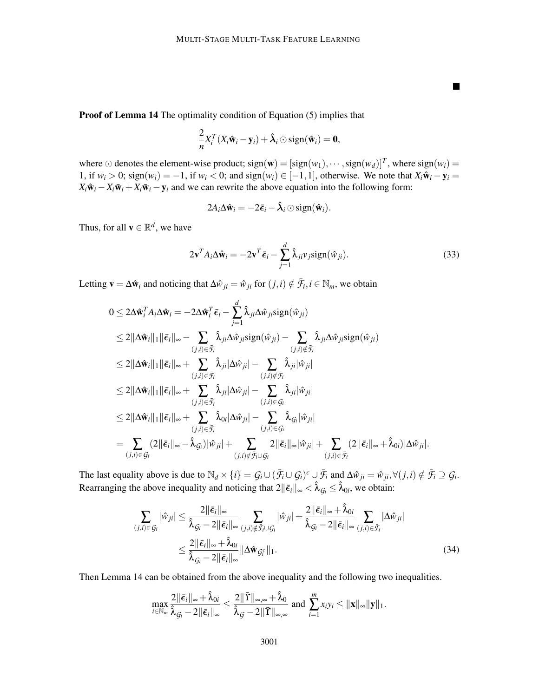Proof of Lemma 14 The optimality condition of Equation (5) implies that

$$
\frac{2}{n}X_i^T(X_i\hat{\mathbf{w}}_i-\mathbf{y}_i)+\hat{\boldsymbol{\lambda}}_i\odot \mathrm{sign}(\hat{\mathbf{w}}_i)=\mathbf{0},
$$

where ⊙ denotes the element-wise product;  $sign(w) = [sign(w_1), \dots, sign(w_d)]^T$ , where  $sign(w_i) =$ 1, if  $w_i > 0$ ; sign( $w_i$ ) = −1, if  $w_i < 0$ ; and sign( $w_i$ ) ∈ [−1, 1], otherwise. We note that  $X_i \hat{w}_i - y_i$  =  $X_i \hat{\mathbf{w}}_i - X_i \bar{\mathbf{w}}_i + X_i \bar{\mathbf{w}}_i - \mathbf{y}_i$  and we can rewrite the above equation into the following form:

$$
2A_i\Delta \hat{\mathbf{w}}_i = -2\bar{\boldsymbol{\epsilon}}_i - \hat{\boldsymbol{\lambda}}_i \odot \text{sign}(\hat{\mathbf{w}}_i).
$$

Thus, for all  $\mathbf{v} \in \mathbb{R}^d$ , we have

$$
2\mathbf{v}^T A_i \Delta \hat{\mathbf{w}}_i = -2\mathbf{v}^T \bar{\boldsymbol{\epsilon}}_i - \sum_{j=1}^d \hat{\lambda}_{ji} v_j \text{sign}(\hat{\boldsymbol{w}}_{ji}).
$$
\n(33)

 $\blacksquare$ 

Letting  $\mathbf{v} = \Delta \hat{\mathbf{w}}_i$  and noticing that  $\Delta \hat{w}_{ji} = \hat{w}_{ji}$  for  $(j, i) \notin \bar{\mathcal{F}}_i, i \in \mathbb{N}_m$ , we obtain

$$
0 \leq 2\Delta \hat{\mathbf{w}}_i^T A_i \Delta \hat{\mathbf{w}}_i = -2\Delta \hat{\mathbf{w}}_i^T \bar{\boldsymbol{\epsilon}}_i - \sum_{j=1}^d \hat{\lambda}_{ji} \Delta \hat{\mathbf{w}}_{ji} sign(\hat{\mathbf{w}}_{ji})
$$
  
\n
$$
\leq 2\|\Delta \hat{\mathbf{w}}_i\|_1 \|\bar{\boldsymbol{\epsilon}}_i\|_{\infty} - \sum_{(j,i) \in \bar{\mathcal{F}}_i} \hat{\lambda}_{ji} \Delta \hat{\mathbf{w}}_{ji} sign(\hat{\mathbf{w}}_{ji}) - \sum_{(j,i) \notin \bar{\mathcal{F}}_i} \hat{\lambda}_{ji} \Delta \hat{\mathbf{w}}_{ji} sign(\hat{\mathbf{w}}_{ji})
$$
  
\n
$$
\leq 2\|\Delta \hat{\mathbf{w}}_i\|_1 \|\bar{\boldsymbol{\epsilon}}_i\|_{\infty} + \sum_{(j,i) \in \bar{\mathcal{F}}_i} \hat{\lambda}_{ji} |\Delta \hat{\mathbf{w}}_{ji}| - \sum_{(j,i) \notin \bar{\mathcal{F}}_i} \hat{\lambda}_{ji} |\hat{\mathbf{w}}_{ji}|
$$
  
\n
$$
\leq 2\|\Delta \hat{\mathbf{w}}_i\|_1 \|\bar{\boldsymbol{\epsilon}}_i\|_{\infty} + \sum_{(j,i) \in \bar{\mathcal{F}}_i} \hat{\lambda}_{ji} |\Delta \hat{\mathbf{w}}_{ji}| - \sum_{(j,i) \in \mathcal{G}_i} \hat{\lambda}_{ji} |\hat{\mathbf{w}}_{ji}|
$$
  
\n
$$
\leq 2\|\Delta \hat{\mathbf{w}}_i\|_1 \|\bar{\boldsymbol{\epsilon}}_i\|_{\infty} + \sum_{(j,i) \in \bar{\mathcal{F}}_i} \hat{\lambda}_{0i} |\Delta \hat{\mathbf{w}}_{ji}| - \sum_{(j,i) \in \mathcal{G}_i} \hat{\lambda}_{\mathcal{G}_i} |\hat{\mathbf{w}}_{ji}|
$$
  
\n
$$
= \sum_{(j,i) \in \bar{\mathcal{G}}_i} (2\|\bar{\boldsymbol{\epsilon}}_i\|_{\infty} - \hat{\lambda}_{\mathcal{G}_i}) |\hat{\mathbf{w}}_{ji}| + \sum_{(j,i) \notin \bar{\mathcal{F}}_i} 2\|\bar{\
$$

The last equality above is due to  $\mathbb{N}_d \times \{i\} = \mathcal{G}_i \cup (\bar{\mathcal{F}}_i \cup \mathcal{G}_i)^c \cup \bar{\mathcal{F}}_i$  and  $\Delta \hat{w}_{ji} = \hat{w}_{ji}, \forall (j, i) \notin \bar{\mathcal{F}}_i \supseteq \mathcal{G}_i$ . Rearranging the above inequality and noticing that  $2\|\bar{\epsilon}_i\|_{\infty} < \hat{\lambda}_{\mathcal{G}_i} \leq \hat{\lambda}_{0i}$ , we obtain:

$$
\sum_{(j,i)\in\mathcal{G}_i} |\hat{w}_{ji}| \leq \frac{2\|\bar{\epsilon}_i\|_{\infty}}{\hat{\lambda}_{\mathcal{G}_i} - 2\|\bar{\epsilon}_i\|_{\infty}} \sum_{(j,i)\notin\bar{\mathcal{F}}_i\cup\mathcal{G}_i} |\hat{w}_{ji}| + \frac{2\|\bar{\epsilon}_i\|_{\infty} + \hat{\lambda}_{0i}}{\hat{\lambda}_{\mathcal{G}_i} - 2\|\bar{\epsilon}_i\|_{\infty}} \sum_{(j,i)\in\bar{\mathcal{F}}_i} |\Delta \hat{w}_{ji}|
$$
  

$$
\leq \frac{2\|\bar{\epsilon}_i\|_{\infty} + \hat{\lambda}_{0i}}{\hat{\lambda}_{\mathcal{G}_i} - 2\|\bar{\epsilon}_i\|_{\infty}} \|\Delta \hat{w}_{\mathcal{G}_i^c}\|_1.
$$
 (34)

Then Lemma 14 can be obtained from the above inequality and the following two inequalities.

$$
\max_{i\in\mathbb{N}_m}\frac{2\|\bar{\boldsymbol{\epsilon}}_i\|_{\infty}+\hat{\lambda}_{0i}}{\hat{\lambda}_{\mathcal{G}_i}-2\|\bar{\boldsymbol{\epsilon}}_i\|_{\infty}}\leq\frac{2\|\bar{\boldsymbol{\Upsilon}}\|_{\infty,\infty}+\hat{\lambda}_0}{\hat{\lambda}_{\mathcal{G}}-2\|\bar{\boldsymbol{\Upsilon}}\|_{\infty,\infty}}\ \text{and}\ \sum_{i=1}^m x_iy_i\leq\|\mathbf{x}\|_{\infty}\|\mathbf{y}\|_1.
$$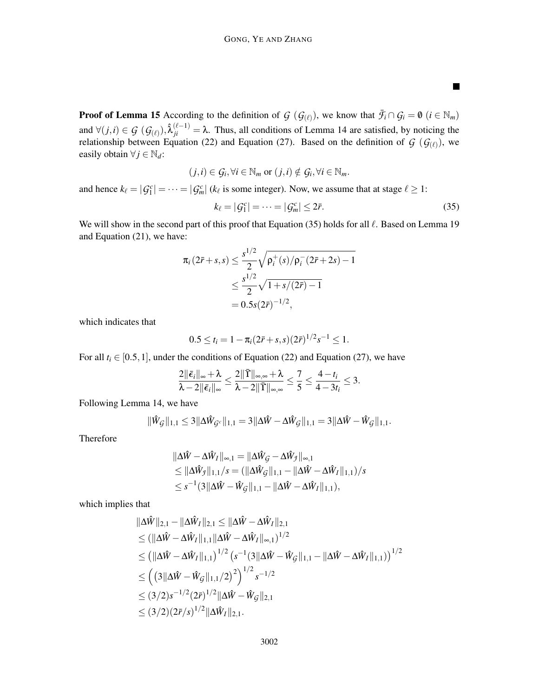**Proof of Lemma 15** According to the definition of  $G$  ( $G$ <sub>( $\ell$ )</sub>), we know that  $\bar{\mathcal{F}}_i \cap G_i = \emptyset$  ( $i \in \mathbb{N}_m$ ) and  $\forall (j,i) \in \mathcal{G}$  ( $\mathcal{G}_{(\ell)}$ ),  $\hat{\lambda}_{ji}^{(\ell-1)} = \lambda$ . Thus, all conditions of Lemma 14 are satisfied, by noticing the relationship between Equation (22) and Equation (27). Based on the definition of  $G$  ( $G_{(\ell)}$ ), we easily obtain  $\forall j \in \mathbb{N}_d$ :

$$
(j,i) \in \mathcal{G}_i, \forall i \in \mathbb{N}_m \text{ or } (j,i) \notin \mathcal{G}_i, \forall i \in \mathbb{N}_m.
$$

and hence  $k_{\ell} = |G_1^c| = \cdots = |G_m^c|$  ( $k_{\ell}$  is some integer). Now, we assume that at stage  $\ell \ge 1$ :

$$
k_{\ell} = |G_1^c| = \dots = |G_m^c| \le 2\bar{r}.
$$
 (35)

 $\blacksquare$ 

We will show in the second part of this proof that Equation (35) holds for all  $\ell$ . Based on Lemma 19 and Equation (21), we have:

$$
\pi_i (2\bar{r} + s, s) \le \frac{s^{1/2}}{2} \sqrt{\rho_i^+(s)/\rho_i^-(2\bar{r} + 2s) - 1}
$$
  

$$
\le \frac{s^{1/2}}{2} \sqrt{1 + s/(2\bar{r}) - 1}
$$
  

$$
= 0.5s(2\bar{r})^{-1/2},
$$

which indicates that

$$
0.5 \leq t_i = 1 - \pi_i (2\bar{r} + s, s) (2\bar{r})^{1/2} s^{-1} \leq 1.
$$

For all  $t_i \in [0.5, 1]$ , under the conditions of Equation (22) and Equation (27), we have

$$
\frac{2\|\bar{\boldsymbol{\epsilon}}_i\|_{\infty}+\lambda}{\lambda-2\|\bar{\boldsymbol{\epsilon}}_i\|_{\infty}}\leq \frac{2\|\bar{\Upsilon}\|_{\infty,\infty}+\lambda}{\lambda-2\|\bar{\Upsilon}\|_{\infty,\infty}}\leq \frac{7}{5}\leq \frac{4-t_i}{4-3t_i}\leq 3.
$$

Following Lemma 14, we have

$$
\|\hat{W}_{\mathcal{G}}\|_{1,1} \leq 3 \|\Delta \hat{W}_{\mathcal{G}^c}\|_{1,1} = 3 \|\Delta \hat{W} - \Delta \hat{W}_{\mathcal{G}}\|_{1,1} = 3 \|\Delta \hat{W} - \hat{W}_{\mathcal{G}}\|_{1,1}.
$$

Therefore

$$
\|\Delta \hat{W} - \Delta \hat{W}_I\|_{\infty,1} = \|\Delta \hat{W}_G - \Delta \hat{W}_J\|_{\infty,1} \n\leq \|\Delta \hat{W}_J\|_{1,1}/s = (\|\Delta \hat{W}_G\|_{1,1} - \|\Delta \hat{W} - \Delta \hat{W}_I\|_{1,1})/s \n\leq s^{-1}(3\|\Delta \hat{W} - \hat{W}_G\|_{1,1} - \|\Delta \hat{W} - \Delta \hat{W}_I\|_{1,1}),
$$

which implies that

$$
\|\Delta \hat{W}\|_{2,1} - \|\Delta \hat{W}_I\|_{2,1} \le \|\Delta \hat{W} - \Delta \hat{W}_I\|_{2,1} \n\le (\|\Delta \hat{W} - \Delta \hat{W}_I\|_{1,1} \|\Delta \hat{W} - \Delta \hat{W}_I\|_{\infty,1})^{1/2} \n\le (\|\Delta \hat{W} - \Delta \hat{W}_I\|_{1,1})^{1/2} (s^{-1} (3\|\Delta \hat{W} - \hat{W}_G\|_{1,1} - \|\Delta \hat{W} - \Delta \hat{W}_I\|_{1,1}))^{1/2} \n\le ((3\|\Delta \hat{W} - \hat{W}_G\|_{1,1}/2)^2)^{1/2} s^{-1/2} \n\le (3/2)s^{-1/2} (2\bar{r})^{1/2} \|\Delta \hat{W} - \hat{W}_G\|_{2,1} \n\le (3/2)(2\bar{r}/s)^{1/2} \|\Delta \hat{W}_I\|_{2,1}.
$$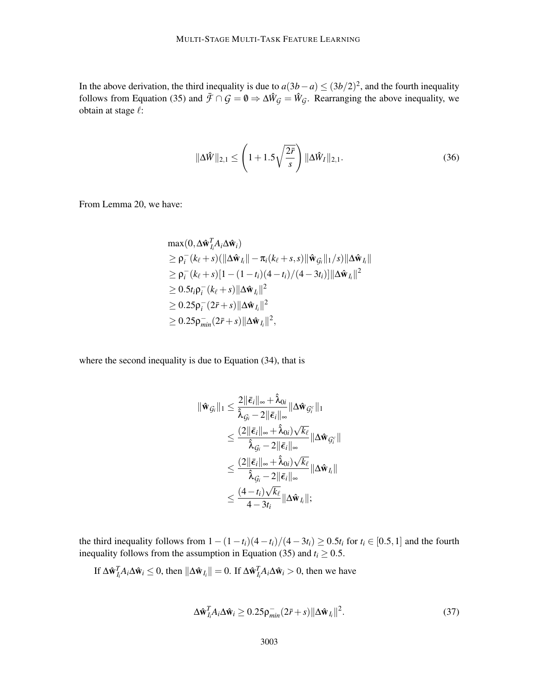In the above derivation, the third inequality is due to  $a(3b-a) \le (3b/2)^2$ , and the fourth inequality follows from Equation (35) and  $\bar{\mathcal{F}} \cap \mathcal{G} = \mathbf{0} \Rightarrow \Delta \hat{W}_{\mathcal{G}} = \hat{W}_{\mathcal{G}}$ . Rearranging the above inequality, we obtain at stage  $\ell$ :

$$
\|\Delta \hat{W}\|_{2,1} \le \left(1 + 1.5\sqrt{\frac{2\bar{r}}{s}}\right) \|\Delta \hat{W}_I\|_{2,1}.
$$
 (36)

From Lemma 20, we have:

$$
\max(0, \Delta \hat{\mathbf{w}}_{I_i}^T A_i \Delta \hat{\mathbf{w}}_i)
$$
\n
$$
\geq \rho_i^-(k_\ell + s) (\|\Delta \hat{\mathbf{w}}_{I_i}\| - \pi_i(k_\ell + s, s) \|\hat{\mathbf{w}}_{G_i}\|_1/s) \|\Delta \hat{\mathbf{w}}_{I_i}\|
$$
\n
$$
\geq \rho_i^-(k_\ell + s)[1 - (1 - t_i)(4 - t_i)/(4 - 3t_i)] \|\Delta \hat{\mathbf{w}}_{I_i}\|^2
$$
\n
$$
\geq 0.5t_i \rho_i^-(k_\ell + s) \|\Delta \hat{\mathbf{w}}_{I_i}\|^2
$$
\n
$$
\geq 0.25 \rho_i^-(2\bar{r} + s) \|\Delta \hat{\mathbf{w}}_{I_i}\|^2
$$
\n
$$
\geq 0.25 \rho_{min}^-(2\bar{r} + s) \|\Delta \hat{\mathbf{w}}_{I_i}\|^2,
$$

where the second inequality is due to Equation (34), that is

$$
\begin{aligned}\n\|\hat{\mathbf{w}}_{\mathcal{G}_i}\|_1 &\leq \frac{2\|\bar{\boldsymbol{\epsilon}}_i\|_{\infty} + \hat{\lambda}_{0i}}{\hat{\lambda}_{\mathcal{G}_i} - 2\|\bar{\boldsymbol{\epsilon}}_i\|_{\infty}} \|\Delta \hat{\mathbf{w}}_{\mathcal{G}_i^c}\|_1 \\
&\leq \frac{(2\|\bar{\boldsymbol{\epsilon}}_i\|_{\infty} + \hat{\lambda}_{0i})\sqrt{k_{\ell}}}{\hat{\lambda}_{\mathcal{G}_i} - 2\|\bar{\boldsymbol{\epsilon}}_i\|_{\infty}} \|\Delta \hat{\mathbf{w}}_{\mathcal{G}_i^c}\| \\
&\leq \frac{(2\|\bar{\boldsymbol{\epsilon}}_i\|_{\infty} + \hat{\lambda}_{0i})\sqrt{k_{\ell}}}{\hat{\lambda}_{\mathcal{G}_i} - 2\|\bar{\boldsymbol{\epsilon}}_i\|_{\infty}} \|\Delta \hat{\mathbf{w}}_{I_i}\| \\
&\leq \frac{(4 - t_i)\sqrt{k_{\ell}}}{4 - 3t_i} \|\Delta \hat{\mathbf{w}}_{I_i}\|;\n\end{aligned}
$$

the third inequality follows from  $1-(1-t_i)(4-t_i)/(4-3t_i) \ge 0.5t_i$  for  $t_i \in [0.5,1]$  and the fourth inequality follows from the assumption in Equation (35) and  $t_i \ge 0.5$ .

If 
$$
\Delta \hat{\mathbf{w}}_{I_i}^T A_i \Delta \hat{\mathbf{w}}_i \leq 0
$$
, then  $\|\Delta \hat{\mathbf{w}}_{I_i}\| = 0$ . If  $\Delta \hat{\mathbf{w}}_{I_i}^T A_i \Delta \hat{\mathbf{w}}_i > 0$ , then we have

$$
\Delta \hat{\mathbf{w}}_{I_i}^T A_i \Delta \hat{\mathbf{w}}_i \ge 0.25 \rho_{min}^- (2\bar{r} + s) \|\Delta \hat{\mathbf{w}}_{I_i}\|^2. \tag{37}
$$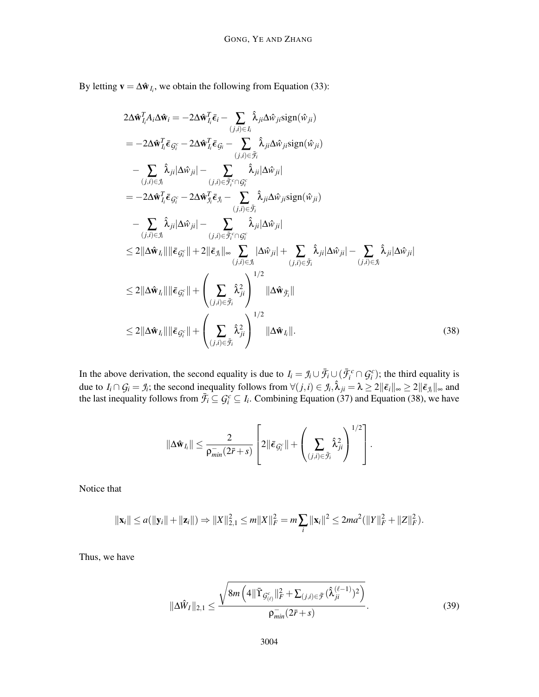By letting  $\mathbf{v} = \Delta \hat{\mathbf{w}}_{I_i}$ , we obtain the following from Equation (33):

$$
2\Delta \hat{\mathbf{w}}_{I_{i}}^{T} A_{i} \Delta \hat{\mathbf{w}}_{i} = -2\Delta \hat{\mathbf{w}}_{I_{i}}^{T} \bar{\epsilon}_{i} - \sum_{(j,i) \in I_{i}} \hat{\lambda}_{ji} \Delta \hat{w}_{ji} \text{sign}(\hat{w}_{ji})
$$
\n
$$
= -2\Delta \hat{\mathbf{w}}_{I_{i}}^{T} \bar{\epsilon}_{G_{i}^{c}} - 2\Delta \hat{\mathbf{w}}_{I_{i}}^{T} \bar{\epsilon}_{G_{i}} - \sum_{(j,i) \in \bar{\mathcal{I}}_{i}} \hat{\lambda}_{ji} \Delta \hat{w}_{ji} \text{sign}(\hat{w}_{ji})
$$
\n
$$
- \sum_{(j,i) \in J_{i}} \hat{\lambda}_{ji} |\Delta \hat{w}_{ji}| - \sum_{(j,i) \in \bar{\mathcal{I}}_{i}^{c} \cap G_{i}^{c}} \hat{\lambda}_{ji} |\Delta \hat{w}_{ji}|
$$
\n
$$
= -2\Delta \hat{\mathbf{w}}_{I_{i}}^{T} \bar{\epsilon}_{G_{i}^{c}} - 2\Delta \hat{\mathbf{w}}_{J_{i}}^{T} \bar{\epsilon}_{J_{i}} - \sum_{(j,i) \in \bar{\mathcal{I}}_{i}^{c}} \hat{\lambda}_{ji} \Delta \hat{w}_{ji} \text{sign}(\hat{w}_{ji})
$$
\n
$$
- \sum_{(j,i) \in J_{i}} \hat{\lambda}_{ji} |\Delta \hat{w}_{ji}| - \sum_{(j,i) \in \bar{\mathcal{I}}_{i}^{c}} \hat{\lambda}_{ji} |\Delta \hat{w}_{ji}|
$$
\n
$$
\leq 2||\Delta \hat{\mathbf{w}}_{I_{i}}|| ||\bar{\epsilon}_{G_{i}^{c}}|| + 2||\bar{\epsilon}_{J_{i}}||_{\infty} \sum_{(j,i) \in J_{i}} |\Delta \hat{w}_{ji}| + \sum_{(j,i) \in \bar{\mathcal{I}}_{i}} \hat{\lambda}_{ji} |\Delta \hat{w}_{ji}| - \sum_{(j,i) \in J_{i}} \hat{\lambda}_{ji} |\Delta \hat{w}_{ji}|
$$
\n
$$
\leq 2||\Delta \hat{\mathbf{w}}_{I_{i}}|| ||\bar{\epsilon}_{G_{i}^{c}}|| + \left(\sum_{(j,i) \in \bar{\mathcal{I}}_{i}^{c}} \hat{\lambda}_{ji}^{2}\right)^{
$$

In the above derivation, the second equality is due to  $I_i = \mathcal{I}_i \cup \overline{\mathcal{F}}_i \cup (\overline{\mathcal{F}}_i^c \cap \mathcal{G}_i^c)$ ; the third equality is due to  $I_i \cap G_i = J_i$ ; the second inequality follows from  $\forall (j,i) \in J_i, \hat{\lambda}_{ji} = \lambda \geq 2 \|\bar{\epsilon}_i\|_{\infty} \geq 2 \|\bar{\epsilon}_{J_i}\|_{\infty}$  and the last inequality follows from  $\bar{f}_i \subseteq G_i^c \subseteq I_i$ . Combining Equation (37) and Equation (38), we have

$$
\|\Delta \hat{\mathbf{w}}_{I_i}\| \leq \frac{2}{\rho_{min}^{-}(2\bar{r}+s)}\left[2\|\bar{\boldsymbol{\epsilon}}_{\mathcal{G}_i^c}\| + \left(\sum_{(j,i)\in\bar{\mathcal{F}}_i}\hat{\lambda}_{ji}^2\right)^{1/2}\right].
$$

Notice that

$$
\|\mathbf{x}_i\| \leq a(\|\mathbf{y}_i\| + \|\mathbf{z}_i\|) \Rightarrow \|X\|_{2,1}^2 \leq m\|X\|_F^2 = m\sum_i \|\mathbf{x}_i\|^2 \leq 2ma^2(\|Y\|_F^2 + \|Z\|_F^2).
$$

Thus, we have

$$
\|\Delta \hat{W}_I\|_{2,1} \le \frac{\sqrt{8m\left(4\|\bar{\Upsilon}_{\mathcal{G}_{(\ell)}^c}\|_F^2 + \sum_{(j,i)\in\bar{\mathcal{F}}}(\hat{\lambda}_{ji}^{(\ell-1)})^2\right)}}{\rho_{min}^{-}(2\bar{r}+s)}.
$$
\n(39)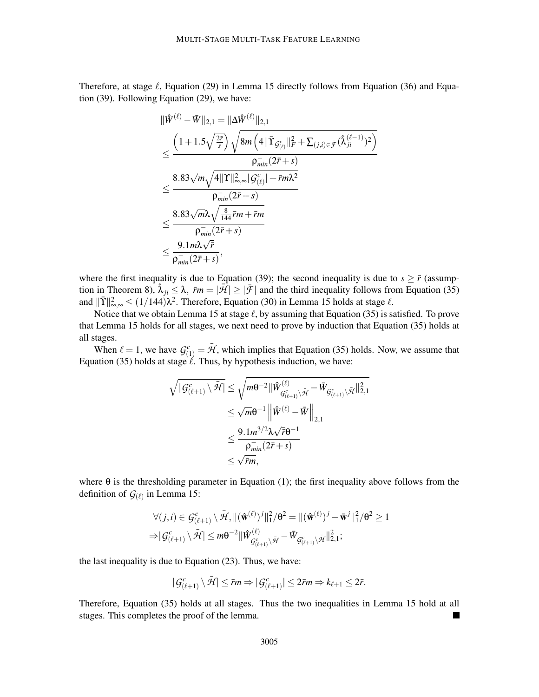Therefore, at stage  $\ell$ , Equation (29) in Lemma 15 directly follows from Equation (36) and Equation (39). Following Equation (29), we have:

$$
\begin{aligned} &\|\hat{W}^{(\ell)}-\bar{W}\|_{2,1}=\|\Delta\hat{W}^{(\ell)}\|_{2,1}\\ &\leq \frac{\left(1+1.5\sqrt{\frac{2\bar{r}}{s}}\right)\sqrt{8m\left(4\|\bar{\Upsilon}_{\mathcal{G}^{c}_{(\ell)}}\|_{F}^{2}+\sum_{(j,i)\in\bar{\mathcal{F}}}(\hat{\lambda}^{(\ell-1)}_{ji})^{2}\right)}}{\rho_{min}^{-}\left(2\bar{r}+s\right)}}\\ &\leq \frac{8.83\sqrt{m}\sqrt{4\|\Upsilon\|_{\infty,\infty}^{2}|\mathcal{G}^{c}_{(\ell)}|+\bar{r}m\lambda^{2}}}{\rho_{min}^{-}\left(2\bar{r}+s\right)}\\ &\leq \frac{8.83\sqrt{m}\lambda\sqrt{\frac{8}{144}\bar{r}m+\bar{r}m}}{\rho_{min}^{-}\left(2\bar{r}+s\right)}}\\ &\leq \frac{9.1m\lambda\sqrt{\bar{r}}}{\rho_{min}^{-}\left(2\bar{r}+s\right)}, \end{aligned}
$$

where the first inequality is due to Equation (39); the second inequality is due to  $s \geq \bar{r}$  (assumption in Theorem 8),  $\hat{\lambda}_{ji} \leq \lambda$ ,  $\bar{r}m = |\bar{\mathcal{H}}| \geq |\bar{\mathcal{F}}|$  and the third inequality follows from Equation (35) and  $\|\bar{\Upsilon}\|_{\infty,\infty}^2 \le (1/144)\lambda^2$ . Therefore, Equation (30) in Lemma 15 holds at stage  $\ell$ .

Notice that we obtain Lemma 15 at stage  $\ell$ , by assuming that Equation (35) is satisfied. To prove that Lemma 15 holds for all stages, we next need to prove by induction that Equation (35) holds at all stages.

When  $\ell = 1$ , we have  $\mathcal{G}_{(1)}^c = \bar{\mathcal{H}}$ , which implies that Equation (35) holds. Now, we assume that Equation (35) holds at stage  $\ell$ . Thus, by hypothesis induction, we have:

$$
\sqrt{|G_{(\ell+1)}^c \setminus \bar{\mathcal{H}}|} \leq \sqrt{m\theta^{-2} ||\hat{W}_{\bar{G}_{(\ell+1)}^c \setminus \bar{\mathcal{H}}}^{(\ell)} - \bar{W}_{\bar{G}_{(\ell+1)}^c \setminus \bar{\mathcal{H}}}||_{2,1}^2} \leq \sqrt{m\theta^{-1} ||\hat{W}^{(\ell)} - \bar{W}||_{2,1}} \leq \frac{9.1 m^{3/2} \lambda \sqrt{\bar{r}} \theta^{-1}}{\rho_{\min}^{-1} (2\bar{r} + s)} \leq \sqrt{\bar{r}m},
$$

where  $\theta$  is the thresholding parameter in Equation (1); the first inequality above follows from the definition of  $G_{(\ell)}$  in Lemma 15:

$$
\forall (j,i) \in \mathcal{G}^c_{(\ell+1)} \setminus \bar{\mathcal{H}}, \Vert (\hat{\mathbf{w}}^{(\ell)})^j \Vert_1^2 / \theta^2 = \Vert (\hat{\mathbf{w}}^{(\ell)})^j - \bar{\mathbf{w}}^j \Vert_1^2 / \theta^2 \ge 1
$$
  

$$
\Rightarrow |\mathcal{G}^c_{(\ell+1)} \setminus \bar{\mathcal{H}}| \le m\theta^{-2} \Vert \hat{W}^{(\ell)}_{\mathcal{G}^c_{(\ell+1)} \setminus \bar{\mathcal{H}}} - \bar{W}_{\mathcal{G}^c_{(\ell+1)} \setminus \bar{\mathcal{H}}} \Vert_{2,1}^2;
$$

the last inequality is due to Equation (23). Thus, we have:

$$
|\mathcal{G}^c_{(\ell+1)} \setminus \bar{\mathcal{H}}| \le \bar{r} m \Rightarrow |\mathcal{G}^c_{(\ell+1)}| \le 2\bar{r} m \Rightarrow k_{\ell+1} \le 2\bar{r}.
$$

Therefore, Equation (35) holds at all stages. Thus the two inequalities in Lemma 15 hold at all stages. This completes the proof of the lemma.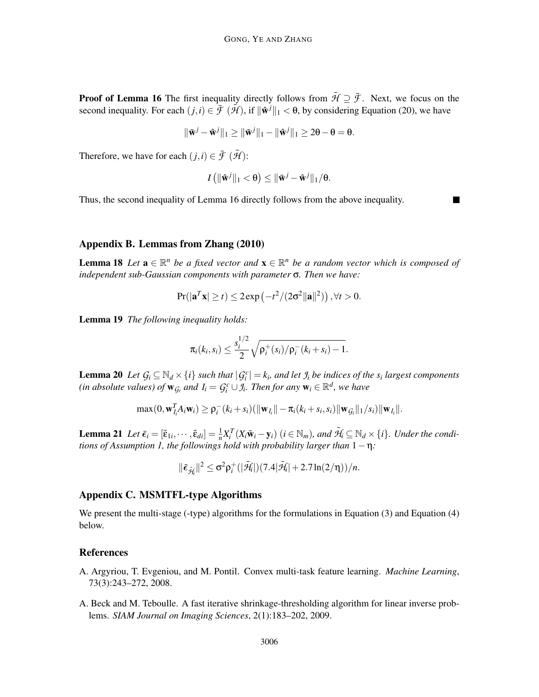**Proof of Lemma 16** The first inequality directly follows from  $\bar{\mathcal{H}} \supseteq \bar{\mathcal{F}}$ . Next, we focus on the second inequality. For each  $(j, i) \in \mathcal{F}(\mathcal{H})$ , if  $\|\hat{\mathbf{w}}^j\|_1 < \theta$ , by considering Equation (20), we have

$$
\|\bar{\mathbf{w}}^j - \hat{\mathbf{w}}^j\|_1 \ge \|\bar{\mathbf{w}}^j\|_1 - \|\hat{\mathbf{w}}^j\|_1 \ge 2\theta - \theta = \theta.
$$

Therefore, we have for each  $(j,i) \in \bar{\mathcal{F}}(\bar{\mathcal{H}})$ :

$$
I(|\hat{\mathbf{w}}^j||_1 < \theta) \leq ||\bar{\mathbf{w}}^j - \hat{\mathbf{w}}^j||_1/\theta.
$$

Thus, the second inequality of Lemma 16 directly follows from the above inequality.

# Appendix B. Lemmas from Zhang (2010)

**Lemma 18** Let  $\mathbf{a} \in \mathbb{R}^n$  be a fixed vector and  $\mathbf{x} \in \mathbb{R}^n$  be a random vector which is composed of *independent sub-Gaussian components with parameter* σ*. Then we have:*

$$
\Pr(|\mathbf{a}^T\mathbf{x}| \ge t) \le 2 \exp\left(-t^2/(2\sigma^2 ||\mathbf{a}||^2)\right), \forall t > 0.
$$

Lemma 19 *The following inequality holds:*

$$
\pi_i(k_i, s_i) \leq \frac{s_i^{1/2}}{2} \sqrt{\rho_i^+(s_i)/\rho_i^-(k_i+s_i)-1}.
$$

**Lemma 20** Let  $G_i \subseteq \mathbb{N}_d \times \{i\}$  such that  $|G_i^c| = k_i$ , and let  $\mathcal{I}_i$  be indices of the  $s_i$  largest components *(in absolute values) of*  $\mathbf{w}_{\mathcal{G}_i}$  *and*  $I_i = \mathcal{G}_i^c \cup \mathcal{I}_i$ *. Then for any*  $\mathbf{w}_i \in \mathbb{R}^d$ *, we have* 

$$
\max(0, \mathbf{w}_{I_i}^T A_i \mathbf{w}_i) \geq \rho_i^-(k_i+s_i) (\|\mathbf{w}_{I_i}\| - \pi_i(k_i+s_i,s_i)\|\mathbf{w}_{G_i}\|_1/s_i) \|\mathbf{w}_{I_i}\|.
$$

**Lemma 21** Let  $\bar{\epsilon}_i = [\bar{\epsilon}_{1i}, \cdots, \bar{\epsilon}_{di}] = \frac{1}{n} X_i^T (X_i \bar{\mathbf{w}}_i - \mathbf{y}_i)$   $(i \in \mathbb{N}_m)$ , and  $\bar{\mathcal{H}}_i \subseteq \mathbb{N}_d \times \{i\}$ . Under the condi*tions of Assumption 1, the followings hold with probability larger than* 1−η*:*

$$
\|\bar{\boldsymbol{\varepsilon}}_{\bar{\mathcal{H}}_f}\|^2 \leq \sigma^2 \rho^+_i(|\bar{\mathcal{H}}_f|)(7.4|\bar{\mathcal{H}}_f|+2.7\ln(2/\eta))/\textit{n}.
$$

# Appendix C. MSMTFL-type Algorithms

We present the multi-stage (-type) algorithms for the formulations in Equation (3) and Equation (4) below.

#### References

- A. Argyriou, T. Evgeniou, and M. Pontil. Convex multi-task feature learning. *Machine Learning*, 73(3):243–272, 2008.
- A. Beck and M. Teboulle. A fast iterative shrinkage-thresholding algorithm for linear inverse problems. *SIAM Journal on Imaging Sciences*, 2(1):183–202, 2009.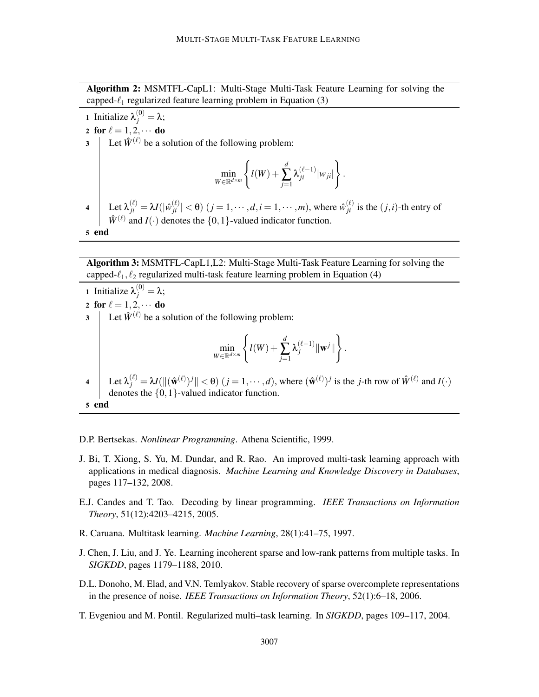Algorithm 2: MSMTFL-CapL1: Multi-Stage Multi-Task Feature Learning for solving the capped- $\ell_1$  regularized feature learning problem in Equation (3)

**1** Initialize  $\lambda_j^{(0)} = \lambda$ ; 2 for  $\ell = 1, 2, \cdots$  do<br>3 Let  $\hat{W}^{(\ell)}$  be a s Let  $\hat{W}^{(\ell)}$  be a solution of the following problem: min *<sup>W</sup>*∈R*d*×*<sup>m</sup>*  $\sqrt{ }$  $l(W) +$ *d* ∑ *j*=1  $\lambda_{ji}^{(\ell-1)}|w_{ji}|$  $\mathcal{L}$ .  $\mathcal{A}$  Let  $\lambda_{ji}^{(\ell)} = \lambda I(|\hat{w}_{ji}^{(\ell)}| < \theta)$   $(j = 1, \dots, d, i = 1, \dots, m)$ , where  $\hat{w}_{ji}^{(\ell)}$  is the  $(j, i)$ -th entry of  $\hat{W}^{(\ell)}$  and *I*( $\cdot$ ) denotes the {0, 1}-valued indicator function. 5 end

Algorithm 3: MSMTFL-CapL1,L2: Multi-Stage Multi-Task Feature Learning for solving the capped- $\ell_1, \ell_2$  regularized multi-task feature learning problem in Equation (4)

**1** Initialize  $\lambda_j^{(0)} = \lambda$ ; 2 for  $\ell = 1, 2, \cdots$  do<br>3 | Let  $\hat{W}^{(\ell)}$  be a s Let  $\hat{W}^{(\ell)}$  be a solution of the following problem: min *<sup>W</sup>*∈R*d*×*<sup>m</sup>*  $\int$  $l(W) +$ *d* ∑ *j*=1  $\lambda_j^{(\ell-1)} \| \mathbf{w}^j \|$  $\mathcal{L}$ .  $\mathcal{A} \quad \left| \quad \text{Let } \lambda_j^{(\ell)} = \lambda I(\|(\hat{\mathbf{w}}^{(\ell)})^j \| < \theta) \ (j = 1, \dots, d), \text{ where } (\hat{\mathbf{w}}^{(\ell)})^j \text{ is the } j\text{-th row of } \hat{W}^{(\ell)} \text{ and } I(\cdot) \right|$ denotes the {0,1}-valued indicator function. 5 end

D.P. Bertsekas. *Nonlinear Programming*. Athena Scientific, 1999.

- J. Bi, T. Xiong, S. Yu, M. Dundar, and R. Rao. An improved multi-task learning approach with applications in medical diagnosis. *Machine Learning and Knowledge Discovery in Databases*, pages 117–132, 2008.
- E.J. Candes and T. Tao. Decoding by linear programming. *IEEE Transactions on Information Theory*, 51(12):4203–4215, 2005.
- R. Caruana. Multitask learning. *Machine Learning*, 28(1):41–75, 1997.
- J. Chen, J. Liu, and J. Ye. Learning incoherent sparse and low-rank patterns from multiple tasks. In *SIGKDD*, pages 1179–1188, 2010.
- D.L. Donoho, M. Elad, and V.N. Temlyakov. Stable recovery of sparse overcomplete representations in the presence of noise. *IEEE Transactions on Information Theory*, 52(1):6–18, 2006.
- T. Evgeniou and M. Pontil. Regularized multi–task learning. In *SIGKDD*, pages 109–117, 2004.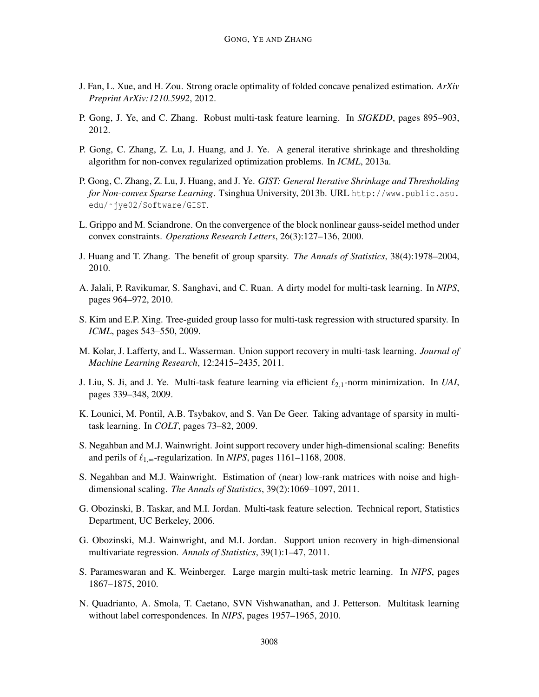- J. Fan, L. Xue, and H. Zou. Strong oracle optimality of folded concave penalized estimation. *ArXiv Preprint ArXiv:1210.5992*, 2012.
- P. Gong, J. Ye, and C. Zhang. Robust multi-task feature learning. In *SIGKDD*, pages 895–903, 2012.
- P. Gong, C. Zhang, Z. Lu, J. Huang, and J. Ye. A general iterative shrinkage and thresholding algorithm for non-convex regularized optimization problems. In *ICML*, 2013a.
- P. Gong, C. Zhang, Z. Lu, J. Huang, and J. Ye. *GIST: General Iterative Shrinkage and Thresholding for Non-convex Sparse Learning*. Tsinghua University, 2013b. URL http://www.public.asu. edu/˜jye02/Software/GIST.
- L. Grippo and M. Sciandrone. On the convergence of the block nonlinear gauss-seidel method under convex constraints. *Operations Research Letters*, 26(3):127–136, 2000.
- J. Huang and T. Zhang. The benefit of group sparsity. *The Annals of Statistics*, 38(4):1978–2004, 2010.
- A. Jalali, P. Ravikumar, S. Sanghavi, and C. Ruan. A dirty model for multi-task learning. In *NIPS*, pages 964–972, 2010.
- S. Kim and E.P. Xing. Tree-guided group lasso for multi-task regression with structured sparsity. In *ICML*, pages 543–550, 2009.
- M. Kolar, J. Lafferty, and L. Wasserman. Union support recovery in multi-task learning. *Journal of Machine Learning Research*, 12:2415–2435, 2011.
- J. Liu, S. Ji, and J. Ye. Multi-task feature learning via efficient ℓ2,1-norm minimization. In *UAI*, pages 339–348, 2009.
- K. Lounici, M. Pontil, A.B. Tsybakov, and S. Van De Geer. Taking advantage of sparsity in multitask learning. In *COLT*, pages 73–82, 2009.
- S. Negahban and M.J. Wainwright. Joint support recovery under high-dimensional scaling: Benefits and perils of  $\ell_{1,\infty}$ -regularization. In *NIPS*, pages 1161–1168, 2008.
- S. Negahban and M.J. Wainwright. Estimation of (near) low-rank matrices with noise and highdimensional scaling. *The Annals of Statistics*, 39(2):1069–1097, 2011.
- G. Obozinski, B. Taskar, and M.I. Jordan. Multi-task feature selection. Technical report, Statistics Department, UC Berkeley, 2006.
- G. Obozinski, M.J. Wainwright, and M.I. Jordan. Support union recovery in high-dimensional multivariate regression. *Annals of Statistics*, 39(1):1–47, 2011.
- S. Parameswaran and K. Weinberger. Large margin multi-task metric learning. In *NIPS*, pages 1867–1875, 2010.
- N. Quadrianto, A. Smola, T. Caetano, SVN Vishwanathan, and J. Petterson. Multitask learning without label correspondences. In *NIPS*, pages 1957–1965, 2010.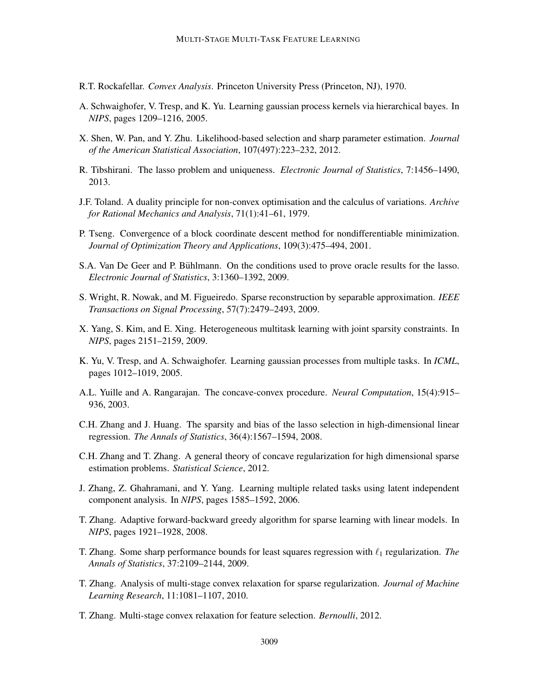- R.T. Rockafellar. *Convex Analysis*. Princeton University Press (Princeton, NJ), 1970.
- A. Schwaighofer, V. Tresp, and K. Yu. Learning gaussian process kernels via hierarchical bayes. In *NIPS*, pages 1209–1216, 2005.
- X. Shen, W. Pan, and Y. Zhu. Likelihood-based selection and sharp parameter estimation. *Journal of the American Statistical Association*, 107(497):223–232, 2012.
- R. Tibshirani. The lasso problem and uniqueness. *Electronic Journal of Statistics*, 7:1456–1490, 2013.
- J.F. Toland. A duality principle for non-convex optimisation and the calculus of variations. *Archive for Rational Mechanics and Analysis*, 71(1):41–61, 1979.
- P. Tseng. Convergence of a block coordinate descent method for nondifferentiable minimization. *Journal of Optimization Theory and Applications*, 109(3):475–494, 2001.
- S.A. Van De Geer and P. Bühlmann. On the conditions used to prove oracle results for the lasso. *Electronic Journal of Statistics*, 3:1360–1392, 2009.
- S. Wright, R. Nowak, and M. Figueiredo. Sparse reconstruction by separable approximation. *IEEE Transactions on Signal Processing*, 57(7):2479–2493, 2009.
- X. Yang, S. Kim, and E. Xing. Heterogeneous multitask learning with joint sparsity constraints. In *NIPS*, pages 2151–2159, 2009.
- K. Yu, V. Tresp, and A. Schwaighofer. Learning gaussian processes from multiple tasks. In *ICML*, pages 1012–1019, 2005.
- A.L. Yuille and A. Rangarajan. The concave-convex procedure. *Neural Computation*, 15(4):915– 936, 2003.
- C.H. Zhang and J. Huang. The sparsity and bias of the lasso selection in high-dimensional linear regression. *The Annals of Statistics*, 36(4):1567–1594, 2008.
- C.H. Zhang and T. Zhang. A general theory of concave regularization for high dimensional sparse estimation problems. *Statistical Science*, 2012.
- J. Zhang, Z. Ghahramani, and Y. Yang. Learning multiple related tasks using latent independent component analysis. In *NIPS*, pages 1585–1592, 2006.
- T. Zhang. Adaptive forward-backward greedy algorithm for sparse learning with linear models. In *NIPS*, pages 1921–1928, 2008.
- T. Zhang. Some sharp performance bounds for least squares regression with ℓ<sup>1</sup> regularization. *The Annals of Statistics*, 37:2109–2144, 2009.
- T. Zhang. Analysis of multi-stage convex relaxation for sparse regularization. *Journal of Machine Learning Research*, 11:1081–1107, 2010.
- T. Zhang. Multi-stage convex relaxation for feature selection. *Bernoulli*, 2012.